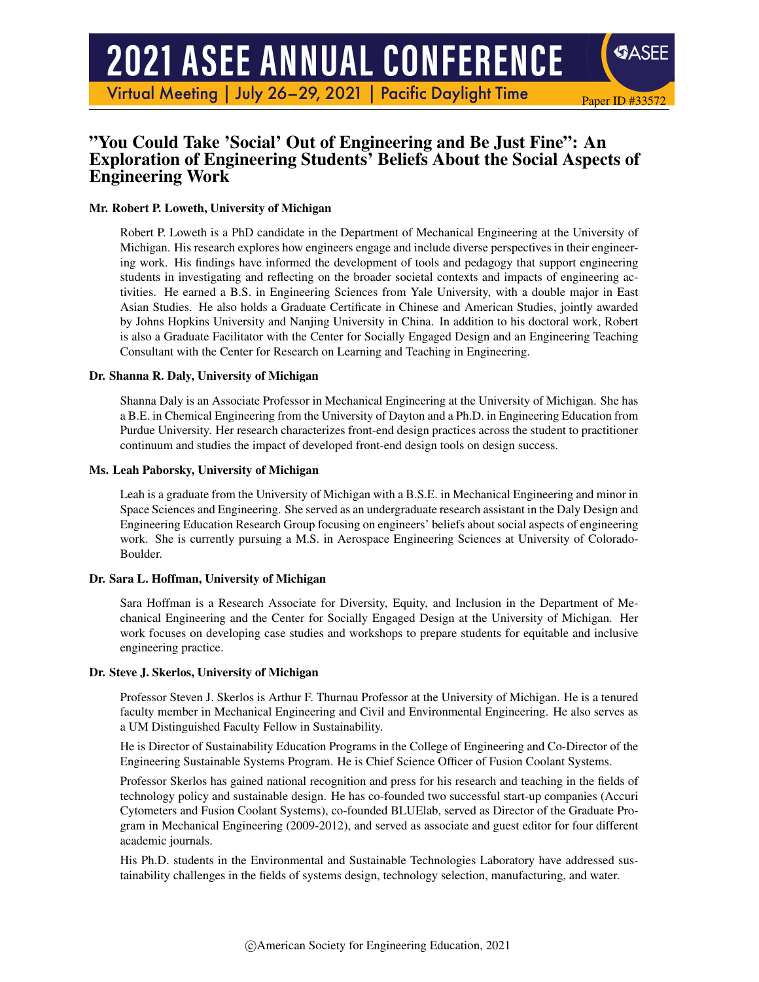# **2021 ASEE ANNUAL CONFERENCE**

Virtual Meeting | July 26-29, 2021 | Pacific Daylight Time

# "You Could Take 'Social' Out of Engineering and Be Just Fine": An Exploration of Engineering Students' Beliefs About the Social Aspects of Engineering Work

Paper ID #33572

SASEE

#### Mr. Robert P. Loweth, University of Michigan

Robert P. Loweth is a PhD candidate in the Department of Mechanical Engineering at the University of Michigan. His research explores how engineers engage and include diverse perspectives in their engineering work. His findings have informed the development of tools and pedagogy that support engineering students in investigating and reflecting on the broader societal contexts and impacts of engineering activities. He earned a B.S. in Engineering Sciences from Yale University, with a double major in East Asian Studies. He also holds a Graduate Certificate in Chinese and American Studies, jointly awarded by Johns Hopkins University and Nanjing University in China. In addition to his doctoral work, Robert is also a Graduate Facilitator with the Center for Socially Engaged Design and an Engineering Teaching Consultant with the Center for Research on Learning and Teaching in Engineering.

#### Dr. Shanna R. Daly, University of Michigan

Shanna Daly is an Associate Professor in Mechanical Engineering at the University of Michigan. She has a B.E. in Chemical Engineering from the University of Dayton and a Ph.D. in Engineering Education from Purdue University. Her research characterizes front-end design practices across the student to practitioner continuum and studies the impact of developed front-end design tools on design success.

#### Ms. Leah Paborsky, University of Michigan

Leah is a graduate from the University of Michigan with a B.S.E. in Mechanical Engineering and minor in Space Sciences and Engineering. She served as an undergraduate research assistant in the Daly Design and Engineering Education Research Group focusing on engineers' beliefs about social aspects of engineering work. She is currently pursuing a M.S. in Aerospace Engineering Sciences at University of Colorado-Boulder.

#### Dr. Sara L. Hoffman, University of Michigan

Sara Hoffman is a Research Associate for Diversity, Equity, and Inclusion in the Department of Mechanical Engineering and the Center for Socially Engaged Design at the University of Michigan. Her work focuses on developing case studies and workshops to prepare students for equitable and inclusive engineering practice.

#### Dr. Steve J. Skerlos, University of Michigan

Professor Steven J. Skerlos is Arthur F. Thurnau Professor at the University of Michigan. He is a tenured faculty member in Mechanical Engineering and Civil and Environmental Engineering. He also serves as a UM Distinguished Faculty Fellow in Sustainability.

He is Director of Sustainability Education Programs in the College of Engineering and Co-Director of the Engineering Sustainable Systems Program. He is Chief Science Officer of Fusion Coolant Systems.

Professor Skerlos has gained national recognition and press for his research and teaching in the fields of technology policy and sustainable design. He has co-founded two successful start-up companies (Accuri Cytometers and Fusion Coolant Systems), co-founded BLUElab, served as Director of the Graduate Program in Mechanical Engineering (2009-2012), and served as associate and guest editor for four different academic journals.

His Ph.D. students in the Environmental and Sustainable Technologies Laboratory have addressed sustainability challenges in the fields of systems design, technology selection, manufacturing, and water.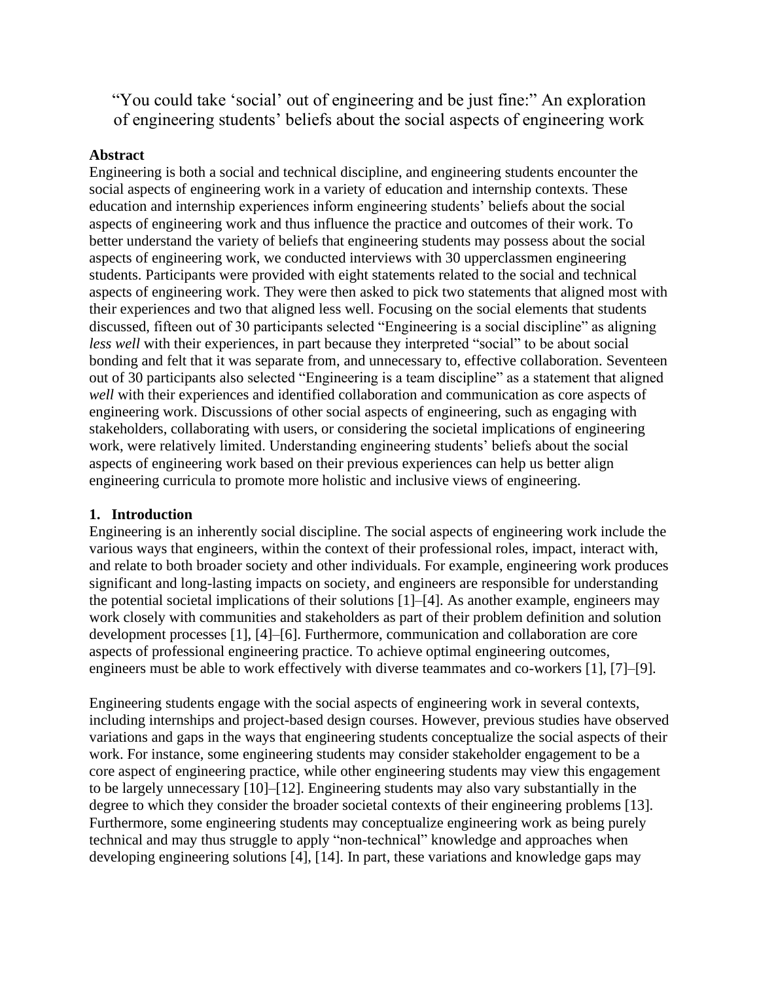"You could take 'social' out of engineering and be just fine:" An exploration of engineering students' beliefs about the social aspects of engineering work

## **Abstract**

Engineering is both a social and technical discipline, and engineering students encounter the social aspects of engineering work in a variety of education and internship contexts. These education and internship experiences inform engineering students' beliefs about the social aspects of engineering work and thus influence the practice and outcomes of their work. To better understand the variety of beliefs that engineering students may possess about the social aspects of engineering work, we conducted interviews with 30 upperclassmen engineering students. Participants were provided with eight statements related to the social and technical aspects of engineering work. They were then asked to pick two statements that aligned most with their experiences and two that aligned less well. Focusing on the social elements that students discussed, fifteen out of 30 participants selected "Engineering is a social discipline" as aligning *less well* with their experiences, in part because they interpreted "social" to be about social bonding and felt that it was separate from, and unnecessary to, effective collaboration. Seventeen out of 30 participants also selected "Engineering is a team discipline" as a statement that aligned *well* with their experiences and identified collaboration and communication as core aspects of engineering work. Discussions of other social aspects of engineering, such as engaging with stakeholders, collaborating with users, or considering the societal implications of engineering work, were relatively limited. Understanding engineering students' beliefs about the social aspects of engineering work based on their previous experiences can help us better align engineering curricula to promote more holistic and inclusive views of engineering.

## **1. Introduction**

Engineering is an inherently social discipline. The social aspects of engineering work include the various ways that engineers, within the context of their professional roles, impact, interact with, and relate to both broader society and other individuals. For example, engineering work produces significant and long-lasting impacts on society, and engineers are responsible for understanding the potential societal implications of their solutions [1]–[4]. As another example, engineers may work closely with communities and stakeholders as part of their problem definition and solution development processes [1], [4]–[6]. Furthermore, communication and collaboration are core aspects of professional engineering practice. To achieve optimal engineering outcomes, engineers must be able to work effectively with diverse teammates and co-workers [1], [7]–[9].

Engineering students engage with the social aspects of engineering work in several contexts, including internships and project-based design courses. However, previous studies have observed variations and gaps in the ways that engineering students conceptualize the social aspects of their work. For instance, some engineering students may consider stakeholder engagement to be a core aspect of engineering practice, while other engineering students may view this engagement to be largely unnecessary [10]–[12]. Engineering students may also vary substantially in the degree to which they consider the broader societal contexts of their engineering problems [13]. Furthermore, some engineering students may conceptualize engineering work as being purely technical and may thus struggle to apply "non-technical" knowledge and approaches when developing engineering solutions [4], [14]. In part, these variations and knowledge gaps may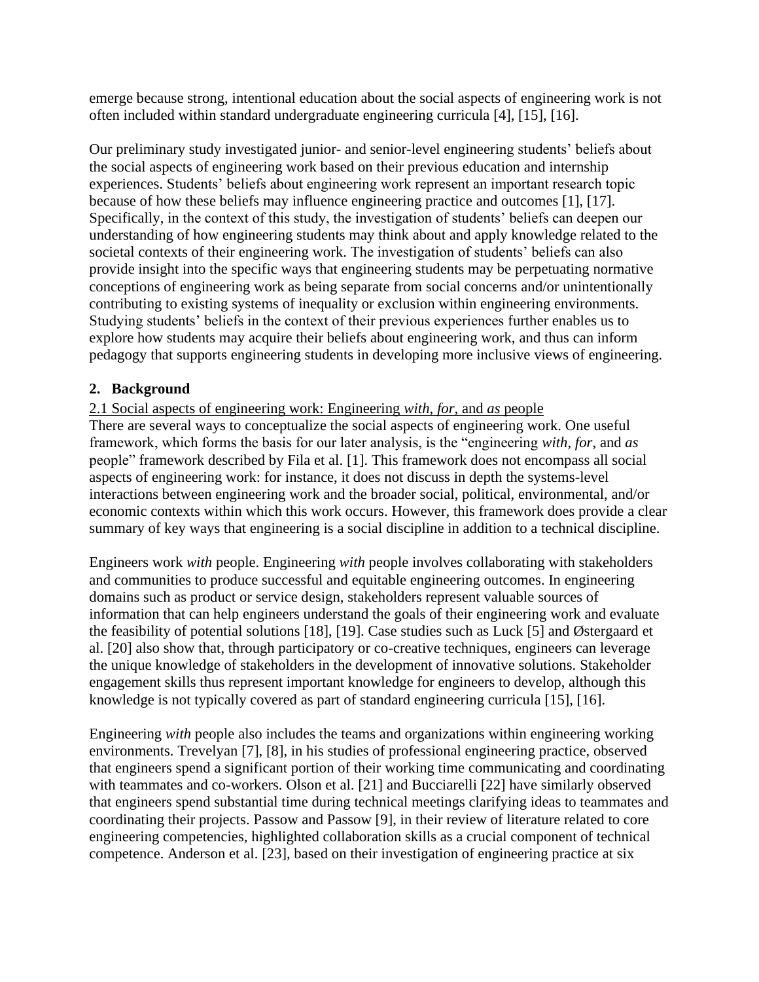emerge because strong, intentional education about the social aspects of engineering work is not often included within standard undergraduate engineering curricula [4], [15], [16].

Our preliminary study investigated junior- and senior-level engineering students' beliefs about the social aspects of engineering work based on their previous education and internship experiences. Students' beliefs about engineering work represent an important research topic because of how these beliefs may influence engineering practice and outcomes [1], [17]. Specifically, in the context of this study, the investigation of students' beliefs can deepen our understanding of how engineering students may think about and apply knowledge related to the societal contexts of their engineering work. The investigation of students' beliefs can also provide insight into the specific ways that engineering students may be perpetuating normative conceptions of engineering work as being separate from social concerns and/or unintentionally contributing to existing systems of inequality or exclusion within engineering environments. Studying students' beliefs in the context of their previous experiences further enables us to explore how students may acquire their beliefs about engineering work, and thus can inform pedagogy that supports engineering students in developing more inclusive views of engineering.

# **2. Background**

2.1 Social aspects of engineering work: Engineering *with*, *for*, and *as* people

There are several ways to conceptualize the social aspects of engineering work. One useful framework, which forms the basis for our later analysis, is the "engineering *with*, *for*, and *as* people" framework described by Fila et al. [1]. This framework does not encompass all social aspects of engineering work: for instance, it does not discuss in depth the systems-level interactions between engineering work and the broader social, political, environmental, and/or economic contexts within which this work occurs. However, this framework does provide a clear summary of key ways that engineering is a social discipline in addition to a technical discipline.

Engineers work *with* people. Engineering *with* people involves collaborating with stakeholders and communities to produce successful and equitable engineering outcomes. In engineering domains such as product or service design, stakeholders represent valuable sources of information that can help engineers understand the goals of their engineering work and evaluate the feasibility of potential solutions [18], [19]. Case studies such as Luck [5] and Østergaard et al. [20] also show that, through participatory or co-creative techniques, engineers can leverage the unique knowledge of stakeholders in the development of innovative solutions. Stakeholder engagement skills thus represent important knowledge for engineers to develop, although this knowledge is not typically covered as part of standard engineering curricula [15], [16].

Engineering *with* people also includes the teams and organizations within engineering working environments. Trevelyan [7], [8], in his studies of professional engineering practice, observed that engineers spend a significant portion of their working time communicating and coordinating with teammates and co-workers. Olson et al. [21] and Bucciarelli [22] have similarly observed that engineers spend substantial time during technical meetings clarifying ideas to teammates and coordinating their projects. Passow and Passow [9], in their review of literature related to core engineering competencies, highlighted collaboration skills as a crucial component of technical competence. Anderson et al. [23], based on their investigation of engineering practice at six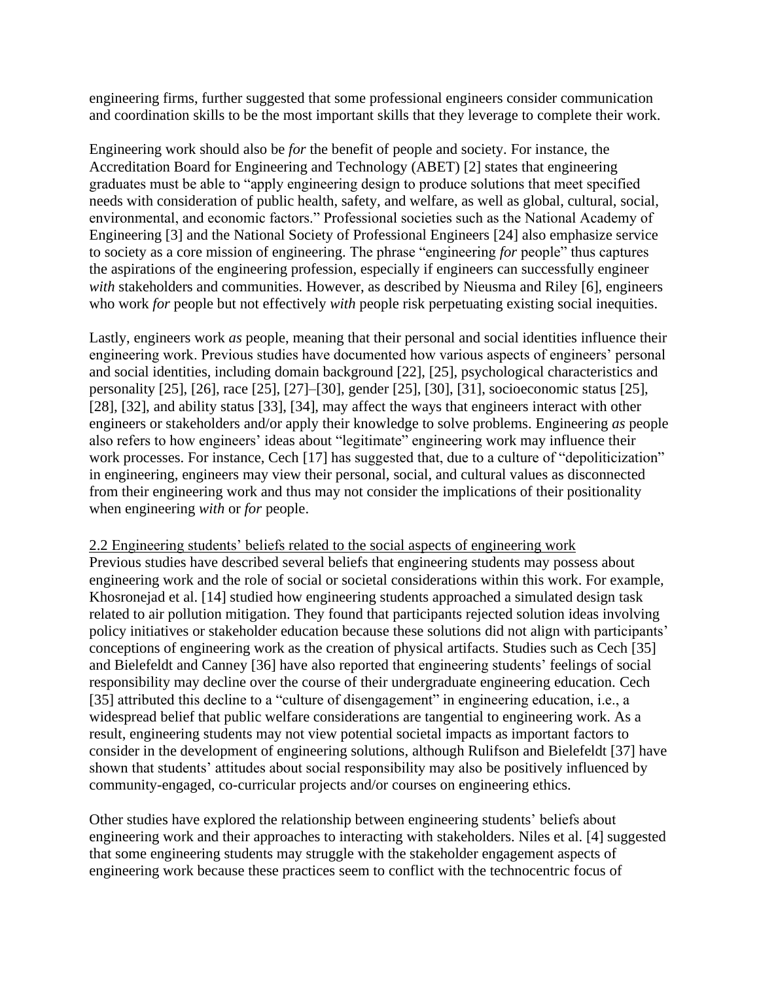engineering firms, further suggested that some professional engineers consider communication and coordination skills to be the most important skills that they leverage to complete their work.

Engineering work should also be *for* the benefit of people and society. For instance, the Accreditation Board for Engineering and Technology (ABET) [2] states that engineering graduates must be able to "apply engineering design to produce solutions that meet specified needs with consideration of public health, safety, and welfare, as well as global, cultural, social, environmental, and economic factors." Professional societies such as the National Academy of Engineering [3] and the National Society of Professional Engineers [24] also emphasize service to society as a core mission of engineering. The phrase "engineering *for* people" thus captures the aspirations of the engineering profession, especially if engineers can successfully engineer *with* stakeholders and communities. However, as described by Nieusma and Riley [6], engineers who work *for* people but not effectively *with* people risk perpetuating existing social inequities.

Lastly, engineers work *as* people, meaning that their personal and social identities influence their engineering work. Previous studies have documented how various aspects of engineers' personal and social identities, including domain background [22], [25], psychological characteristics and personality [25], [26], race [25], [27]–[30], gender [25], [30], [31], socioeconomic status [25], [28], [32], and ability status [33], [34], may affect the ways that engineers interact with other engineers or stakeholders and/or apply their knowledge to solve problems. Engineering *as* people also refers to how engineers' ideas about "legitimate" engineering work may influence their work processes. For instance, Cech [17] has suggested that, due to a culture of "depoliticization" in engineering, engineers may view their personal, social, and cultural values as disconnected from their engineering work and thus may not consider the implications of their positionality when engineering *with* or *for* people.

2.2 Engineering students' beliefs related to the social aspects of engineering work

Previous studies have described several beliefs that engineering students may possess about engineering work and the role of social or societal considerations within this work. For example, Khosronejad et al. [14] studied how engineering students approached a simulated design task related to air pollution mitigation. They found that participants rejected solution ideas involving policy initiatives or stakeholder education because these solutions did not align with participants' conceptions of engineering work as the creation of physical artifacts. Studies such as Cech [35] and Bielefeldt and Canney [36] have also reported that engineering students' feelings of social responsibility may decline over the course of their undergraduate engineering education. Cech [35] attributed this decline to a "culture of disengagement" in engineering education, i.e., a widespread belief that public welfare considerations are tangential to engineering work. As a result, engineering students may not view potential societal impacts as important factors to consider in the development of engineering solutions, although Rulifson and Bielefeldt [37] have shown that students' attitudes about social responsibility may also be positively influenced by community-engaged, co-curricular projects and/or courses on engineering ethics.

Other studies have explored the relationship between engineering students' beliefs about engineering work and their approaches to interacting with stakeholders. Niles et al. [4] suggested that some engineering students may struggle with the stakeholder engagement aspects of engineering work because these practices seem to conflict with the technocentric focus of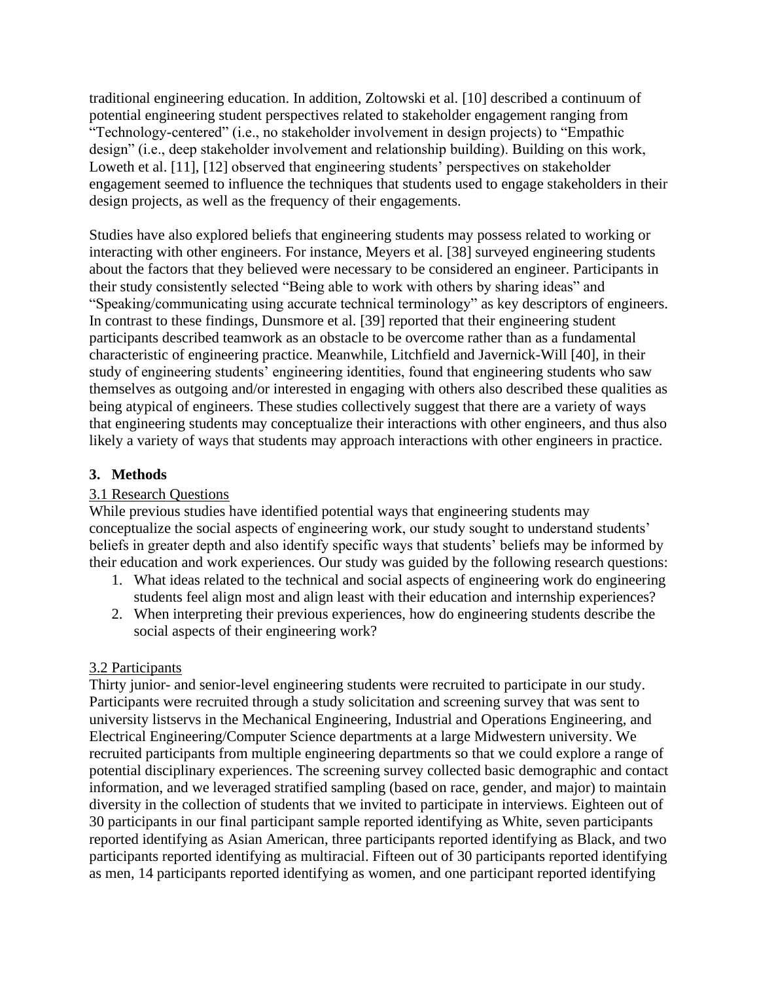traditional engineering education. In addition, Zoltowski et al. [10] described a continuum of potential engineering student perspectives related to stakeholder engagement ranging from "Technology-centered" (i.e., no stakeholder involvement in design projects) to "Empathic design" (i.e., deep stakeholder involvement and relationship building). Building on this work, Loweth et al. [11], [12] observed that engineering students' perspectives on stakeholder engagement seemed to influence the techniques that students used to engage stakeholders in their design projects, as well as the frequency of their engagements.

Studies have also explored beliefs that engineering students may possess related to working or interacting with other engineers. For instance, Meyers et al. [38] surveyed engineering students about the factors that they believed were necessary to be considered an engineer. Participants in their study consistently selected "Being able to work with others by sharing ideas" and "Speaking/communicating using accurate technical terminology" as key descriptors of engineers. In contrast to these findings, Dunsmore et al. [39] reported that their engineering student participants described teamwork as an obstacle to be overcome rather than as a fundamental characteristic of engineering practice. Meanwhile, Litchfield and Javernick-Will [40], in their study of engineering students' engineering identities, found that engineering students who saw themselves as outgoing and/or interested in engaging with others also described these qualities as being atypical of engineers. These studies collectively suggest that there are a variety of ways that engineering students may conceptualize their interactions with other engineers, and thus also likely a variety of ways that students may approach interactions with other engineers in practice.

# **3. Methods**

## 3.1 Research Questions

While previous studies have identified potential ways that engineering students may conceptualize the social aspects of engineering work, our study sought to understand students' beliefs in greater depth and also identify specific ways that students' beliefs may be informed by their education and work experiences. Our study was guided by the following research questions:

- 1. What ideas related to the technical and social aspects of engineering work do engineering students feel align most and align least with their education and internship experiences?
- 2. When interpreting their previous experiences, how do engineering students describe the social aspects of their engineering work?

## 3.2 Participants

Thirty junior- and senior-level engineering students were recruited to participate in our study. Participants were recruited through a study solicitation and screening survey that was sent to university listservs in the Mechanical Engineering, Industrial and Operations Engineering, and Electrical Engineering/Computer Science departments at a large Midwestern university. We recruited participants from multiple engineering departments so that we could explore a range of potential disciplinary experiences. The screening survey collected basic demographic and contact information, and we leveraged stratified sampling (based on race, gender, and major) to maintain diversity in the collection of students that we invited to participate in interviews. Eighteen out of 30 participants in our final participant sample reported identifying as White, seven participants reported identifying as Asian American, three participants reported identifying as Black, and two participants reported identifying as multiracial. Fifteen out of 30 participants reported identifying as men, 14 participants reported identifying as women, and one participant reported identifying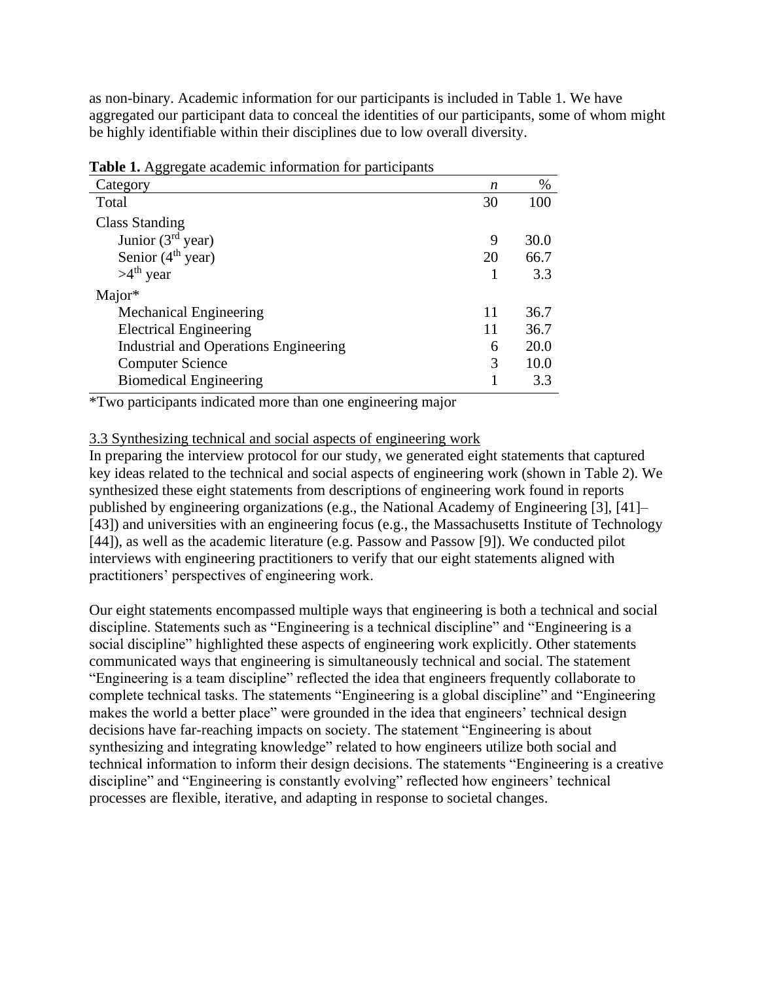as non-binary. Academic information for our participants is included in Table 1. We have aggregated our participant data to conceal the identities of our participants, some of whom might be highly identifiable within their disciplines due to low overall diversity.

| <b>Table 1.</b> Aggregate academic information for participants |    |      |  |  |
|-----------------------------------------------------------------|----|------|--|--|
| Category                                                        | n  | $\%$ |  |  |
| Total                                                           | 30 | 100  |  |  |
| <b>Class Standing</b>                                           |    |      |  |  |
| Junior $(3rd$ year)                                             | 9  | 30.0 |  |  |
| Senior $(4th$ year)                                             | 20 | 66.7 |  |  |
| $>4^{th}$ year                                                  |    | 3.3  |  |  |
| Major*                                                          |    |      |  |  |
| <b>Mechanical Engineering</b>                                   | 11 | 36.7 |  |  |
| <b>Electrical Engineering</b>                                   | 11 | 36.7 |  |  |
| <b>Industrial and Operations Engineering</b>                    | 6  | 20.0 |  |  |
| <b>Computer Science</b>                                         | 3  | 10.0 |  |  |
| <b>Biomedical Engineering</b>                                   |    | 3.3  |  |  |

**Table 1.** Aggregate academic information for participants

\*Two participants indicated more than one engineering major

#### 3.3 Synthesizing technical and social aspects of engineering work

In preparing the interview protocol for our study, we generated eight statements that captured key ideas related to the technical and social aspects of engineering work (shown in Table 2). We synthesized these eight statements from descriptions of engineering work found in reports published by engineering organizations (e.g., the National Academy of Engineering [3], [41]– [43]) and universities with an engineering focus (e.g., the Massachusetts Institute of Technology [44]), as well as the academic literature (e.g. Passow and Passow [9]). We conducted pilot interviews with engineering practitioners to verify that our eight statements aligned with practitioners' perspectives of engineering work.

Our eight statements encompassed multiple ways that engineering is both a technical and social discipline. Statements such as "Engineering is a technical discipline" and "Engineering is a social discipline" highlighted these aspects of engineering work explicitly. Other statements communicated ways that engineering is simultaneously technical and social. The statement "Engineering is a team discipline" reflected the idea that engineers frequently collaborate to complete technical tasks. The statements "Engineering is a global discipline" and "Engineering makes the world a better place" were grounded in the idea that engineers' technical design decisions have far-reaching impacts on society. The statement "Engineering is about synthesizing and integrating knowledge" related to how engineers utilize both social and technical information to inform their design decisions. The statements "Engineering is a creative discipline" and "Engineering is constantly evolving" reflected how engineers' technical processes are flexible, iterative, and adapting in response to societal changes.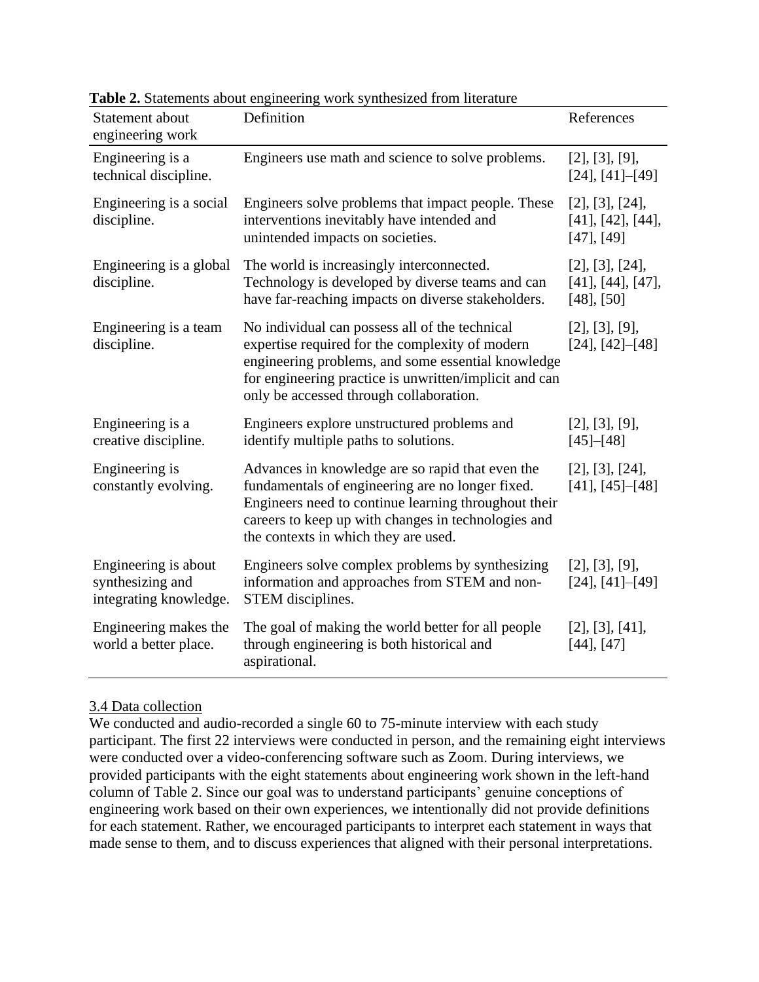| Statement about<br>engineering work                                | Definition                                                                                                                                                                                                                                                   | References                                                       |
|--------------------------------------------------------------------|--------------------------------------------------------------------------------------------------------------------------------------------------------------------------------------------------------------------------------------------------------------|------------------------------------------------------------------|
| Engineering is a<br>technical discipline.                          | Engineers use math and science to solve problems.                                                                                                                                                                                                            | [2], [3], [9],<br>[24], [41]–[49]                                |
| Engineering is a social<br>discipline.                             | Engineers solve problems that impact people. These<br>interventions inevitably have intended and<br>unintended impacts on societies.                                                                                                                         | [2], [3], [24],<br>$[41]$ , $[42]$ , $[44]$ ,<br>$[47]$ , $[49]$ |
| Engineering is a global<br>discipline.                             | The world is increasingly interconnected.<br>Technology is developed by diverse teams and can<br>have far-reaching impacts on diverse stakeholders.                                                                                                          | [2], [3], [24],<br>$[41]$ , $[44]$ , $[47]$ ,<br>$[48]$ , [50]   |
| Engineering is a team<br>discipline.                               | No individual can possess all of the technical<br>expertise required for the complexity of modern<br>engineering problems, and some essential knowledge<br>for engineering practice is unwritten/implicit and can<br>only be accessed through collaboration. | [2], [3], [9],<br>$[24]$ , $[42]$ – $[48]$                       |
| Engineering is a<br>creative discipline.                           | Engineers explore unstructured problems and<br>identify multiple paths to solutions.                                                                                                                                                                         | [2], [3], [9],<br>$[45]$ - $[48]$                                |
| Engineering is<br>constantly evolving.                             | Advances in knowledge are so rapid that even the<br>fundamentals of engineering are no longer fixed.<br>Engineers need to continue learning throughout their<br>careers to keep up with changes in technologies and<br>the contexts in which they are used.  | [2], [3], [24],<br>$[41]$ , $[45]$ – $[48]$                      |
| Engineering is about<br>synthesizing and<br>integrating knowledge. | Engineers solve complex problems by synthesizing<br>information and approaches from STEM and non-<br>STEM disciplines.                                                                                                                                       | [2], [3], [9],<br>[24], [41]–[49]                                |
| Engineering makes the<br>world a better place.                     | The goal of making the world better for all people<br>through engineering is both historical and<br>aspirational.                                                                                                                                            | $[2]$ , $[3]$ , $[41]$ ,<br>$[44]$ , $[47]$                      |

**Table 2.** Statements about engineering work synthesized from literature

## 3.4 Data collection

We conducted and audio-recorded a single 60 to 75-minute interview with each study participant. The first 22 interviews were conducted in person, and the remaining eight interviews were conducted over a video-conferencing software such as Zoom. During interviews, we provided participants with the eight statements about engineering work shown in the left-hand column of Table 2. Since our goal was to understand participants' genuine conceptions of engineering work based on their own experiences, we intentionally did not provide definitions for each statement. Rather, we encouraged participants to interpret each statement in ways that made sense to them, and to discuss experiences that aligned with their personal interpretations.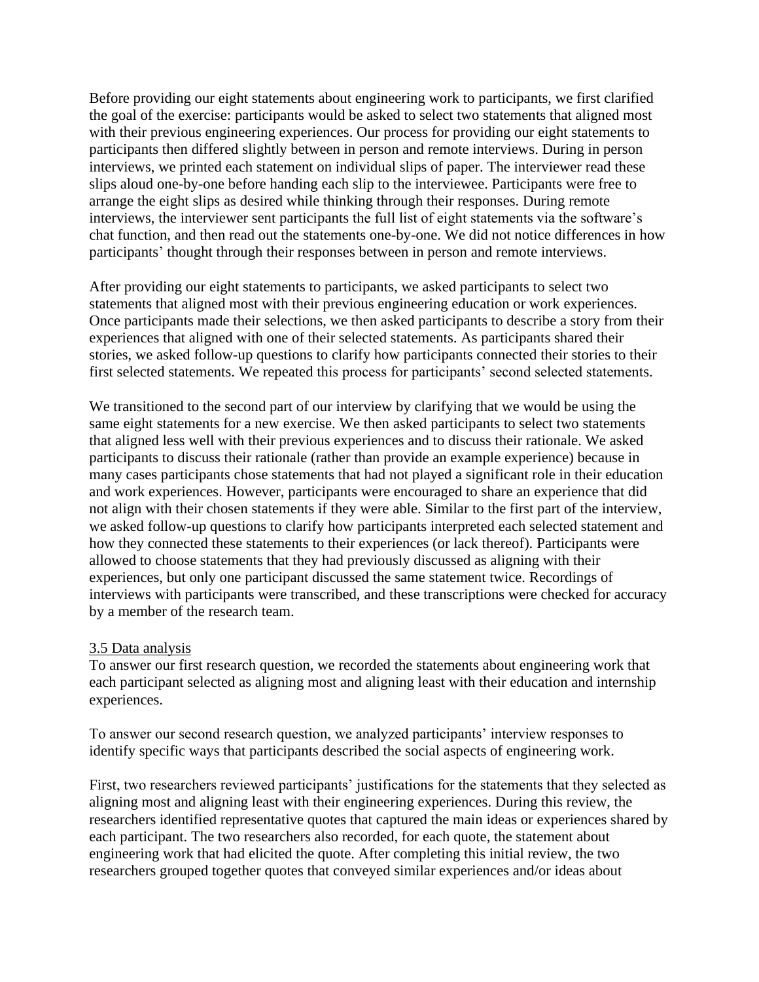Before providing our eight statements about engineering work to participants, we first clarified the goal of the exercise: participants would be asked to select two statements that aligned most with their previous engineering experiences. Our process for providing our eight statements to participants then differed slightly between in person and remote interviews. During in person interviews, we printed each statement on individual slips of paper. The interviewer read these slips aloud one-by-one before handing each slip to the interviewee. Participants were free to arrange the eight slips as desired while thinking through their responses. During remote interviews, the interviewer sent participants the full list of eight statements via the software's chat function, and then read out the statements one-by-one. We did not notice differences in how participants' thought through their responses between in person and remote interviews.

After providing our eight statements to participants, we asked participants to select two statements that aligned most with their previous engineering education or work experiences. Once participants made their selections, we then asked participants to describe a story from their experiences that aligned with one of their selected statements. As participants shared their stories, we asked follow-up questions to clarify how participants connected their stories to their first selected statements. We repeated this process for participants' second selected statements.

We transitioned to the second part of our interview by clarifying that we would be using the same eight statements for a new exercise. We then asked participants to select two statements that aligned less well with their previous experiences and to discuss their rationale. We asked participants to discuss their rationale (rather than provide an example experience) because in many cases participants chose statements that had not played a significant role in their education and work experiences. However, participants were encouraged to share an experience that did not align with their chosen statements if they were able. Similar to the first part of the interview, we asked follow-up questions to clarify how participants interpreted each selected statement and how they connected these statements to their experiences (or lack thereof). Participants were allowed to choose statements that they had previously discussed as aligning with their experiences, but only one participant discussed the same statement twice. Recordings of interviews with participants were transcribed, and these transcriptions were checked for accuracy by a member of the research team.

## 3.5 Data analysis

To answer our first research question, we recorded the statements about engineering work that each participant selected as aligning most and aligning least with their education and internship experiences.

To answer our second research question, we analyzed participants' interview responses to identify specific ways that participants described the social aspects of engineering work.

First, two researchers reviewed participants' justifications for the statements that they selected as aligning most and aligning least with their engineering experiences. During this review, the researchers identified representative quotes that captured the main ideas or experiences shared by each participant. The two researchers also recorded, for each quote, the statement about engineering work that had elicited the quote. After completing this initial review, the two researchers grouped together quotes that conveyed similar experiences and/or ideas about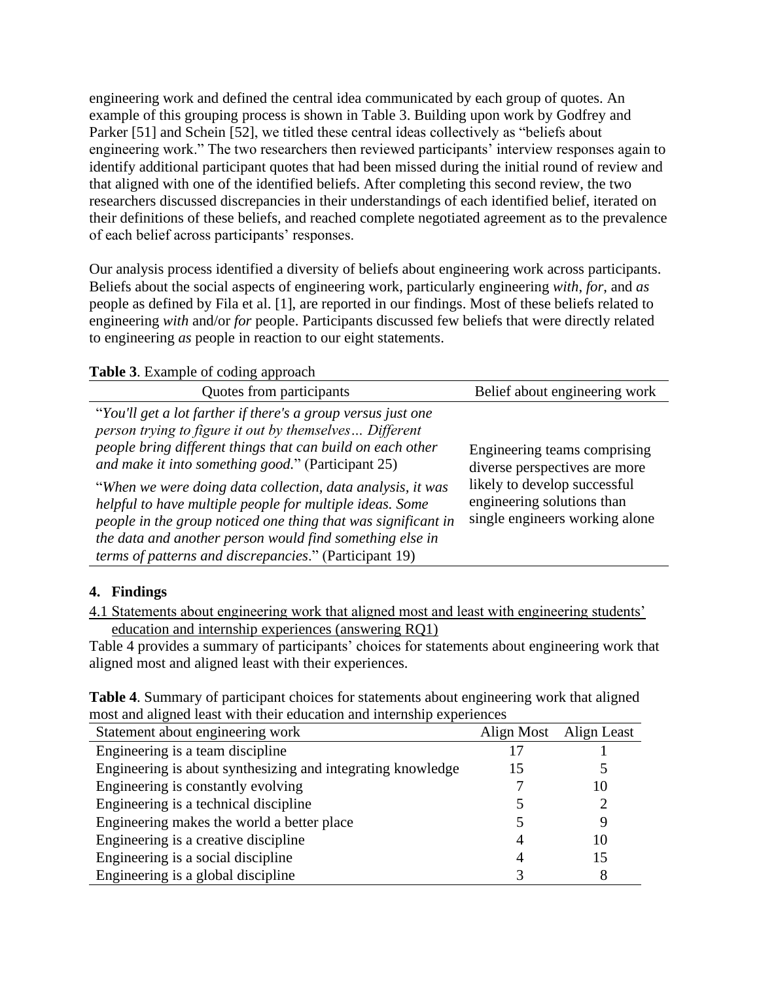engineering work and defined the central idea communicated by each group of quotes. An example of this grouping process is shown in Table 3. Building upon work by Godfrey and Parker [51] and Schein [52], we titled these central ideas collectively as "beliefs about engineering work." The two researchers then reviewed participants' interview responses again to identify additional participant quotes that had been missed during the initial round of review and that aligned with one of the identified beliefs. After completing this second review, the two researchers discussed discrepancies in their understandings of each identified belief, iterated on their definitions of these beliefs, and reached complete negotiated agreement as to the prevalence of each belief across participants' responses.

Our analysis process identified a diversity of beliefs about engineering work across participants. Beliefs about the social aspects of engineering work, particularly engineering *with*, *for*, and *as* people as defined by Fila et al. [1], are reported in our findings. Most of these beliefs related to engineering *with* and/or *for* people. Participants discussed few beliefs that were directly related to engineering *as* people in reaction to our eight statements.

**Table 3**. Example of coding approach

| Quotes from participants                                                                                                                                                                                                                                                                                                                                                                                                                                                                                                                                    | Belief about engineering work                                                                                                                                 |
|-------------------------------------------------------------------------------------------------------------------------------------------------------------------------------------------------------------------------------------------------------------------------------------------------------------------------------------------------------------------------------------------------------------------------------------------------------------------------------------------------------------------------------------------------------------|---------------------------------------------------------------------------------------------------------------------------------------------------------------|
| "You'll get a lot farther if there's a group versus just one<br>person trying to figure it out by themselves Different<br>people bring different things that can build on each other<br>and make it into something good." (Participant 25)<br>"When we were doing data collection, data analysis, it was<br>helpful to have multiple people for multiple ideas. Some<br>people in the group noticed one thing that was significant in<br>the data and another person would find something else in<br>terms of patterns and discrepancies." (Participant 19) | Engineering teams comprising<br>diverse perspectives are more<br>likely to develop successful<br>engineering solutions than<br>single engineers working alone |

## **4. Findings**

4.1 Statements about engineering work that aligned most and least with engineering students' education and internship experiences (answering RQ1)

Table 4 provides a summary of participants' choices for statements about engineering work that aligned most and aligned least with their experiences.

| <b>Table 4.</b> Summary of participant choices for statements about engineering work that aligned |  |
|---------------------------------------------------------------------------------------------------|--|
| most and aligned least with their education and internship experiences                            |  |

| Statement about engineering work                            | Align Most | Align Least |
|-------------------------------------------------------------|------------|-------------|
| Engineering is a team discipline                            |            |             |
| Engineering is about synthesizing and integrating knowledge | 15         |             |
| Engineering is constantly evolving                          |            | 10          |
| Engineering is a technical discipline                       |            |             |
| Engineering makes the world a better place                  |            |             |
| Engineering is a creative discipline                        |            |             |
| Engineering is a social discipline                          |            | 15          |
| Engineering is a global discipline                          |            |             |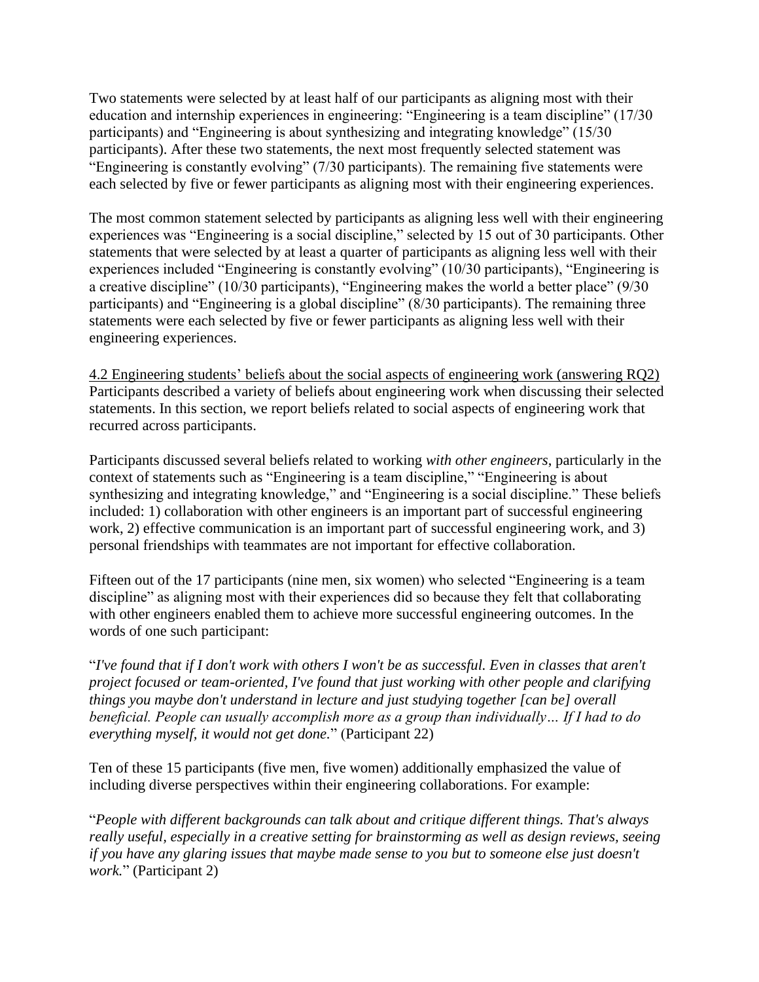Two statements were selected by at least half of our participants as aligning most with their education and internship experiences in engineering: "Engineering is a team discipline" (17/30 participants) and "Engineering is about synthesizing and integrating knowledge" (15/30 participants). After these two statements, the next most frequently selected statement was "Engineering is constantly evolving" (7/30 participants). The remaining five statements were each selected by five or fewer participants as aligning most with their engineering experiences.

The most common statement selected by participants as aligning less well with their engineering experiences was "Engineering is a social discipline," selected by 15 out of 30 participants. Other statements that were selected by at least a quarter of participants as aligning less well with their experiences included "Engineering is constantly evolving" (10/30 participants), "Engineering is a creative discipline" (10/30 participants), "Engineering makes the world a better place" (9/30 participants) and "Engineering is a global discipline" (8/30 participants). The remaining three statements were each selected by five or fewer participants as aligning less well with their engineering experiences.

4.2 Engineering students' beliefs about the social aspects of engineering work (answering RQ2) Participants described a variety of beliefs about engineering work when discussing their selected statements. In this section, we report beliefs related to social aspects of engineering work that recurred across participants.

Participants discussed several beliefs related to working *with other engineers*, particularly in the context of statements such as "Engineering is a team discipline," "Engineering is about synthesizing and integrating knowledge," and "Engineering is a social discipline." These beliefs included: 1) collaboration with other engineers is an important part of successful engineering work, 2) effective communication is an important part of successful engineering work, and 3) personal friendships with teammates are not important for effective collaboration.

Fifteen out of the 17 participants (nine men, six women) who selected "Engineering is a team discipline" as aligning most with their experiences did so because they felt that collaborating with other engineers enabled them to achieve more successful engineering outcomes. In the words of one such participant:

"*I've found that if I don't work with others I won't be as successful. Even in classes that aren't project focused or team-oriented, I've found that just working with other people and clarifying things you maybe don't understand in lecture and just studying together [can be] overall beneficial. People can usually accomplish more as a group than individually… If I had to do everything myself, it would not get done.*" (Participant 22)

Ten of these 15 participants (five men, five women) additionally emphasized the value of including diverse perspectives within their engineering collaborations. For example:

"*People with different backgrounds can talk about and critique different things. That's always really useful, especially in a creative setting for brainstorming as well as design reviews, seeing if you have any glaring issues that maybe made sense to you but to someone else just doesn't work.*" (Participant 2)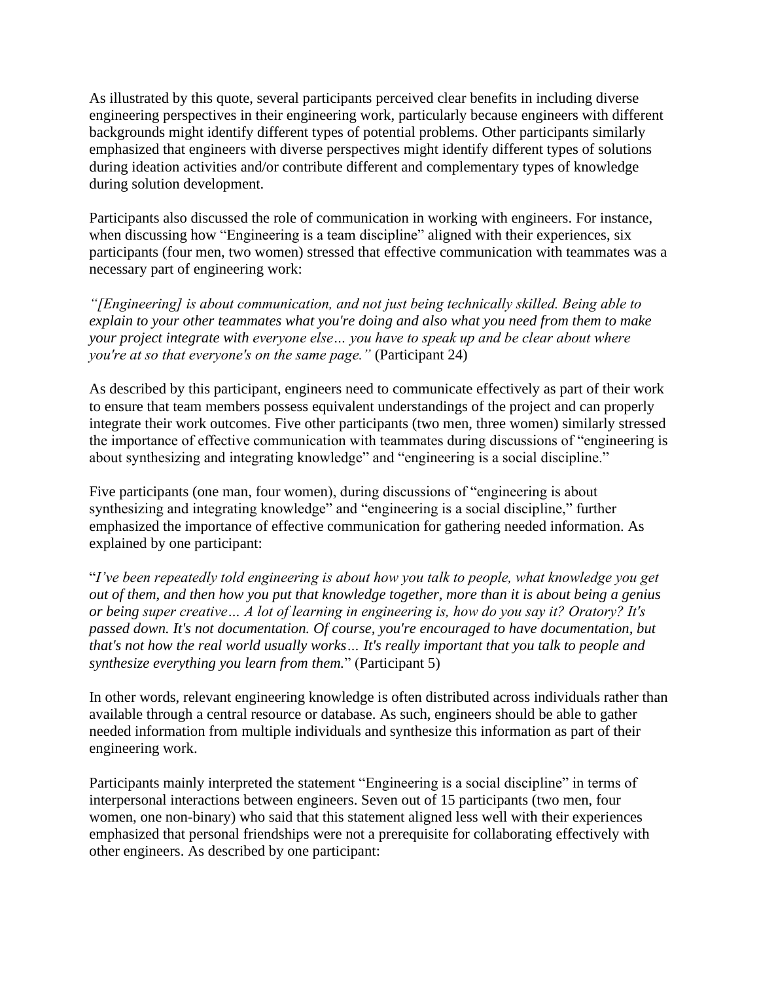As illustrated by this quote, several participants perceived clear benefits in including diverse engineering perspectives in their engineering work, particularly because engineers with different backgrounds might identify different types of potential problems. Other participants similarly emphasized that engineers with diverse perspectives might identify different types of solutions during ideation activities and/or contribute different and complementary types of knowledge during solution development.

Participants also discussed the role of communication in working with engineers. For instance, when discussing how "Engineering is a team discipline" aligned with their experiences, six participants (four men, two women) stressed that effective communication with teammates was a necessary part of engineering work:

*"[Engineering] is about communication, and not just being technically skilled. Being able to explain to your other teammates what you're doing and also what you need from them to make your project integrate with everyone else… you have to speak up and be clear about where you're at so that everyone's on the same page."* (Participant 24)

As described by this participant, engineers need to communicate effectively as part of their work to ensure that team members possess equivalent understandings of the project and can properly integrate their work outcomes. Five other participants (two men, three women) similarly stressed the importance of effective communication with teammates during discussions of "engineering is about synthesizing and integrating knowledge" and "engineering is a social discipline."

Five participants (one man, four women), during discussions of "engineering is about synthesizing and integrating knowledge" and "engineering is a social discipline," further emphasized the importance of effective communication for gathering needed information. As explained by one participant:

"*I've been repeatedly told engineering is about how you talk to people, what knowledge you get out of them, and then how you put that knowledge together, more than it is about being a genius or being super creative… A lot of learning in engineering is, how do you say it? Oratory? It's passed down. It's not documentation. Of course, you're encouraged to have documentation, but that's not how the real world usually works… It's really important that you talk to people and synthesize everything you learn from them.*" (Participant 5)

In other words, relevant engineering knowledge is often distributed across individuals rather than available through a central resource or database. As such, engineers should be able to gather needed information from multiple individuals and synthesize this information as part of their engineering work.

Participants mainly interpreted the statement "Engineering is a social discipline" in terms of interpersonal interactions between engineers. Seven out of 15 participants (two men, four women, one non-binary) who said that this statement aligned less well with their experiences emphasized that personal friendships were not a prerequisite for collaborating effectively with other engineers. As described by one participant: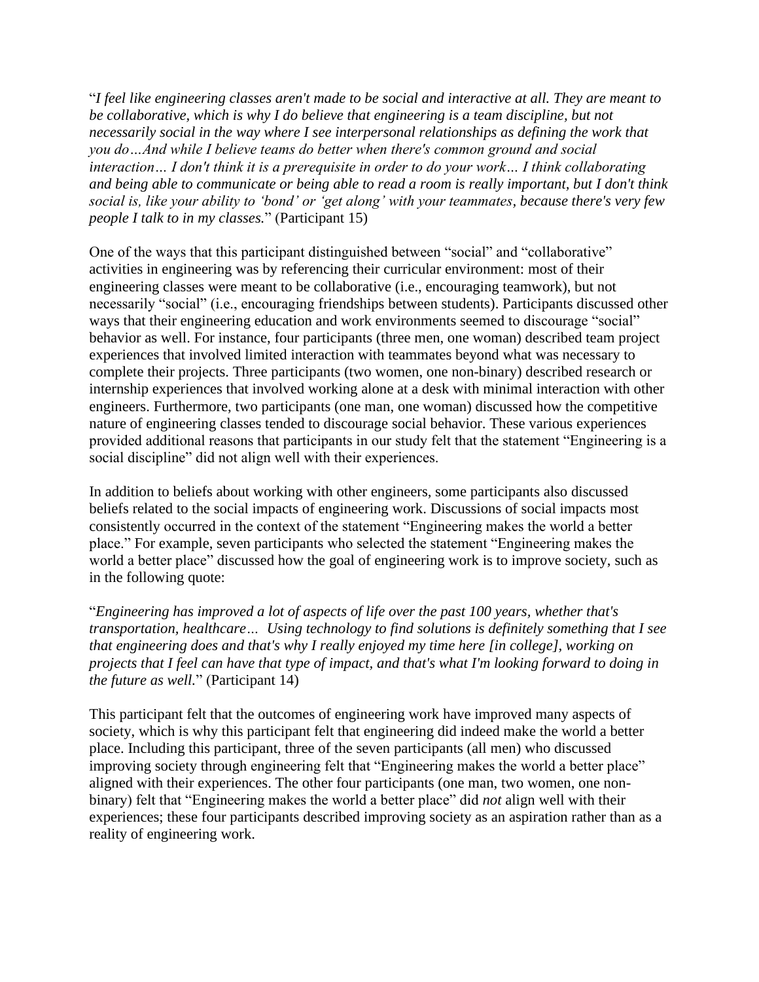"*I feel like engineering classes aren't made to be social and interactive at all. They are meant to be collaborative, which is why I do believe that engineering is a team discipline, but not necessarily social in the way where I see interpersonal relationships as defining the work that you do…And while I believe teams do better when there's common ground and social interaction… I don't think it is a prerequisite in order to do your work… I think collaborating and being able to communicate or being able to read a room is really important, but I don't think social is, like your ability to 'bond' or 'get along' with your teammates, because there's very few people I talk to in my classes.*" (Participant 15)

One of the ways that this participant distinguished between "social" and "collaborative" activities in engineering was by referencing their curricular environment: most of their engineering classes were meant to be collaborative (i.e., encouraging teamwork), but not necessarily "social" (i.e., encouraging friendships between students). Participants discussed other ways that their engineering education and work environments seemed to discourage "social" behavior as well. For instance, four participants (three men, one woman) described team project experiences that involved limited interaction with teammates beyond what was necessary to complete their projects. Three participants (two women, one non-binary) described research or internship experiences that involved working alone at a desk with minimal interaction with other engineers. Furthermore, two participants (one man, one woman) discussed how the competitive nature of engineering classes tended to discourage social behavior. These various experiences provided additional reasons that participants in our study felt that the statement "Engineering is a social discipline" did not align well with their experiences.

In addition to beliefs about working with other engineers, some participants also discussed beliefs related to the social impacts of engineering work. Discussions of social impacts most consistently occurred in the context of the statement "Engineering makes the world a better place." For example, seven participants who selected the statement "Engineering makes the world a better place" discussed how the goal of engineering work is to improve society, such as in the following quote:

"*Engineering has improved a lot of aspects of life over the past 100 years, whether that's transportation, healthcare… Using technology to find solutions is definitely something that I see that engineering does and that's why I really enjoyed my time here [in college], working on projects that I feel can have that type of impact, and that's what I'm looking forward to doing in the future as well.*" (Participant 14)

This participant felt that the outcomes of engineering work have improved many aspects of society, which is why this participant felt that engineering did indeed make the world a better place. Including this participant, three of the seven participants (all men) who discussed improving society through engineering felt that "Engineering makes the world a better place" aligned with their experiences. The other four participants (one man, two women, one nonbinary) felt that "Engineering makes the world a better place" did *not* align well with their experiences; these four participants described improving society as an aspiration rather than as a reality of engineering work.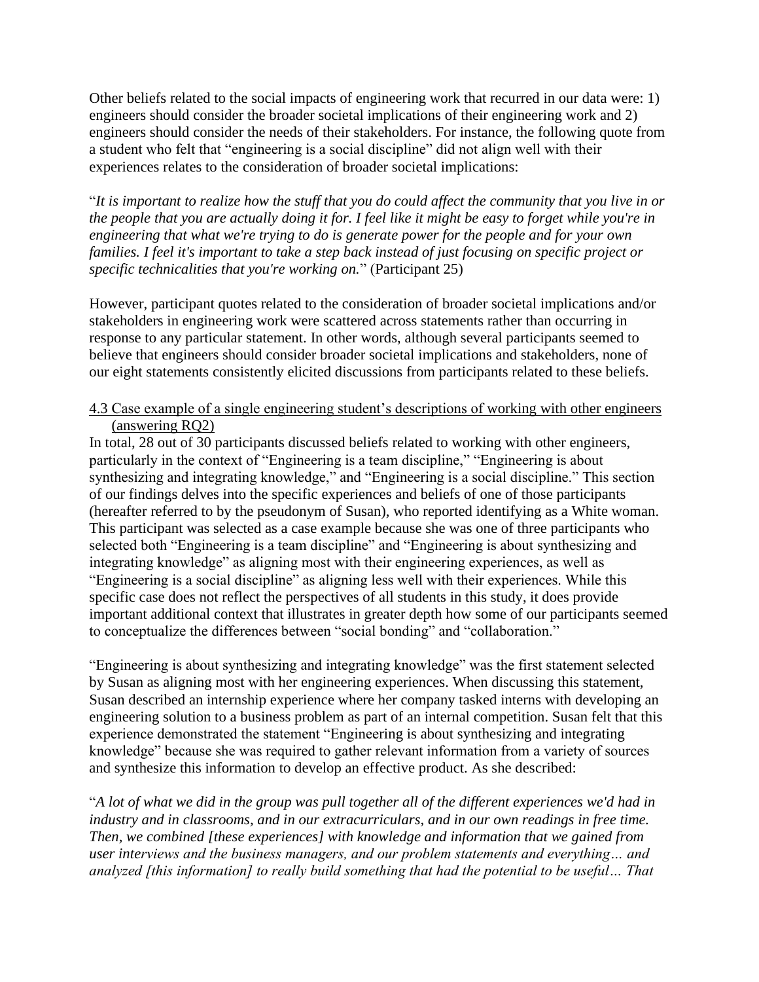Other beliefs related to the social impacts of engineering work that recurred in our data were: 1) engineers should consider the broader societal implications of their engineering work and 2) engineers should consider the needs of their stakeholders. For instance, the following quote from a student who felt that "engineering is a social discipline" did not align well with their experiences relates to the consideration of broader societal implications:

"*It is important to realize how the stuff that you do could affect the community that you live in or the people that you are actually doing it for. I feel like it might be easy to forget while you're in engineering that what we're trying to do is generate power for the people and for your own families. I feel it's important to take a step back instead of just focusing on specific project or specific technicalities that you're working on.*" (Participant 25)

However, participant quotes related to the consideration of broader societal implications and/or stakeholders in engineering work were scattered across statements rather than occurring in response to any particular statement. In other words, although several participants seemed to believe that engineers should consider broader societal implications and stakeholders, none of our eight statements consistently elicited discussions from participants related to these beliefs.

## 4.3 Case example of a single engineering student's descriptions of working with other engineers (answering RQ2)

In total, 28 out of 30 participants discussed beliefs related to working with other engineers, particularly in the context of "Engineering is a team discipline," "Engineering is about synthesizing and integrating knowledge," and "Engineering is a social discipline." This section of our findings delves into the specific experiences and beliefs of one of those participants (hereafter referred to by the pseudonym of Susan), who reported identifying as a White woman. This participant was selected as a case example because she was one of three participants who selected both "Engineering is a team discipline" and "Engineering is about synthesizing and integrating knowledge" as aligning most with their engineering experiences, as well as "Engineering is a social discipline" as aligning less well with their experiences. While this specific case does not reflect the perspectives of all students in this study, it does provide important additional context that illustrates in greater depth how some of our participants seemed to conceptualize the differences between "social bonding" and "collaboration."

"Engineering is about synthesizing and integrating knowledge" was the first statement selected by Susan as aligning most with her engineering experiences. When discussing this statement, Susan described an internship experience where her company tasked interns with developing an engineering solution to a business problem as part of an internal competition. Susan felt that this experience demonstrated the statement "Engineering is about synthesizing and integrating knowledge" because she was required to gather relevant information from a variety of sources and synthesize this information to develop an effective product. As she described:

"*A lot of what we did in the group was pull together all of the different experiences we'd had in industry and in classrooms, and in our extracurriculars, and in our own readings in free time. Then, we combined [these experiences] with knowledge and information that we gained from user interviews and the business managers, and our problem statements and everything… and analyzed [this information] to really build something that had the potential to be useful… That*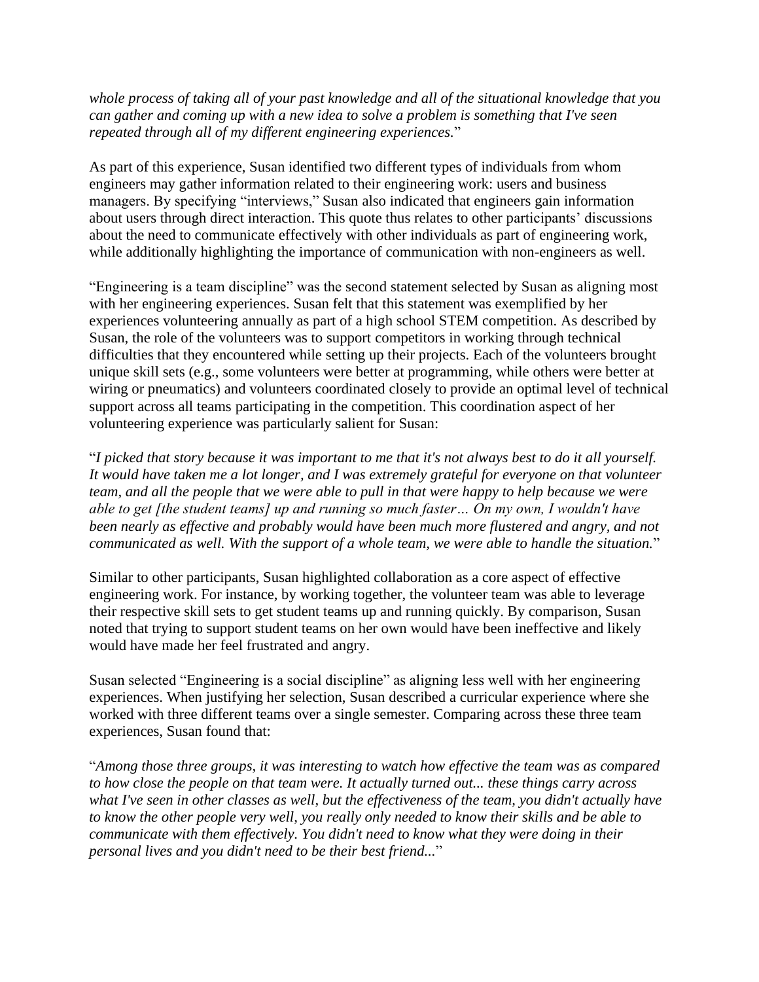*whole process of taking all of your past knowledge and all of the situational knowledge that you can gather and coming up with a new idea to solve a problem is something that I've seen repeated through all of my different engineering experiences.*"

As part of this experience, Susan identified two different types of individuals from whom engineers may gather information related to their engineering work: users and business managers. By specifying "interviews," Susan also indicated that engineers gain information about users through direct interaction. This quote thus relates to other participants' discussions about the need to communicate effectively with other individuals as part of engineering work, while additionally highlighting the importance of communication with non-engineers as well.

"Engineering is a team discipline" was the second statement selected by Susan as aligning most with her engineering experiences. Susan felt that this statement was exemplified by her experiences volunteering annually as part of a high school STEM competition. As described by Susan, the role of the volunteers was to support competitors in working through technical difficulties that they encountered while setting up their projects. Each of the volunteers brought unique skill sets (e.g., some volunteers were better at programming, while others were better at wiring or pneumatics) and volunteers coordinated closely to provide an optimal level of technical support across all teams participating in the competition. This coordination aspect of her volunteering experience was particularly salient for Susan:

"*I picked that story because it was important to me that it's not always best to do it all yourself. It would have taken me a lot longer, and I was extremely grateful for everyone on that volunteer team, and all the people that we were able to pull in that were happy to help because we were able to get [the student teams] up and running so much faster… On my own, I wouldn't have been nearly as effective and probably would have been much more flustered and angry, and not communicated as well. With the support of a whole team, we were able to handle the situation.*"

Similar to other participants, Susan highlighted collaboration as a core aspect of effective engineering work. For instance, by working together, the volunteer team was able to leverage their respective skill sets to get student teams up and running quickly. By comparison, Susan noted that trying to support student teams on her own would have been ineffective and likely would have made her feel frustrated and angry.

Susan selected "Engineering is a social discipline" as aligning less well with her engineering experiences. When justifying her selection, Susan described a curricular experience where she worked with three different teams over a single semester. Comparing across these three team experiences, Susan found that:

"*Among those three groups, it was interesting to watch how effective the team was as compared to how close the people on that team were. It actually turned out... these things carry across what I've seen in other classes as well, but the effectiveness of the team, you didn't actually have to know the other people very well, you really only needed to know their skills and be able to communicate with them effectively. You didn't need to know what they were doing in their personal lives and you didn't need to be their best friend...*"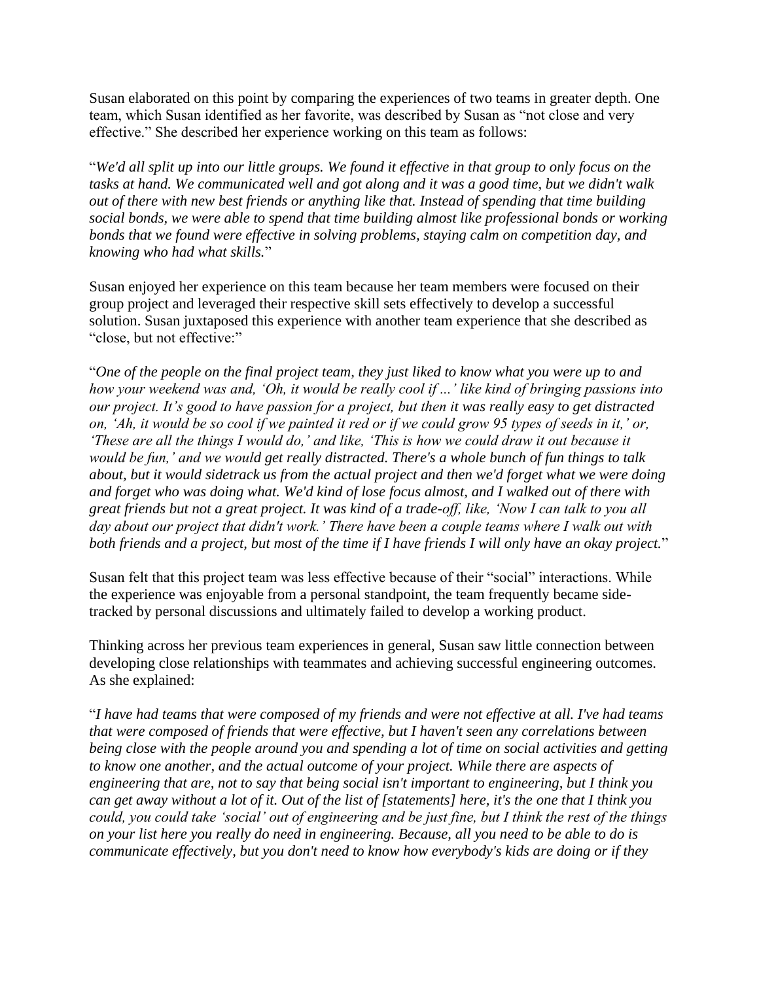Susan elaborated on this point by comparing the experiences of two teams in greater depth. One team, which Susan identified as her favorite, was described by Susan as "not close and very effective." She described her experience working on this team as follows:

"*We'd all split up into our little groups. We found it effective in that group to only focus on the tasks at hand. We communicated well and got along and it was a good time, but we didn't walk out of there with new best friends or anything like that. Instead of spending that time building social bonds, we were able to spend that time building almost like professional bonds or working bonds that we found were effective in solving problems, staying calm on competition day, and knowing who had what skills.*"

Susan enjoyed her experience on this team because her team members were focused on their group project and leveraged their respective skill sets effectively to develop a successful solution. Susan juxtaposed this experience with another team experience that she described as "close, but not effective:"

"*One of the people on the final project team, they just liked to know what you were up to and how your weekend was and, 'Oh, it would be really cool if ...' like kind of bringing passions into our project. It's good to have passion for a project, but then it was really easy to get distracted on, 'Ah, it would be so cool if we painted it red or if we could grow 95 types of seeds in it,' or, 'These are all the things I would do,' and like, 'This is how we could draw it out because it would be fun,' and we would get really distracted. There's a whole bunch of fun things to talk about, but it would sidetrack us from the actual project and then we'd forget what we were doing and forget who was doing what. We'd kind of lose focus almost, and I walked out of there with great friends but not a great project. It was kind of a trade-off, like, 'Now I can talk to you all day about our project that didn't work.' There have been a couple teams where I walk out with both friends and a project, but most of the time if I have friends I will only have an okay project.*"

Susan felt that this project team was less effective because of their "social" interactions. While the experience was enjoyable from a personal standpoint, the team frequently became sidetracked by personal discussions and ultimately failed to develop a working product.

Thinking across her previous team experiences in general, Susan saw little connection between developing close relationships with teammates and achieving successful engineering outcomes. As she explained:

"*I have had teams that were composed of my friends and were not effective at all. I've had teams that were composed of friends that were effective, but I haven't seen any correlations between being close with the people around you and spending a lot of time on social activities and getting to know one another, and the actual outcome of your project. While there are aspects of engineering that are, not to say that being social isn't important to engineering, but I think you can get away without a lot of it. Out of the list of [statements] here, it's the one that I think you could, you could take 'social' out of engineering and be just fine, but I think the rest of the things on your list here you really do need in engineering. Because, all you need to be able to do is communicate effectively, but you don't need to know how everybody's kids are doing or if they*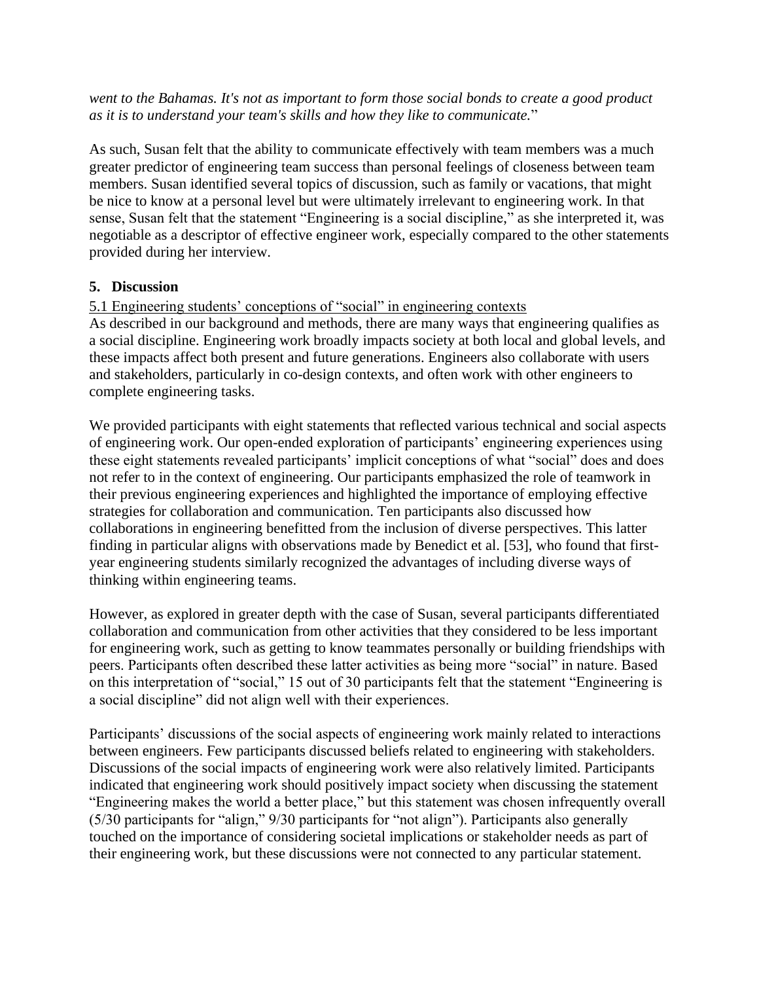*went to the Bahamas. It's not as important to form those social bonds to create a good product as it is to understand your team's skills and how they like to communicate.*"

As such, Susan felt that the ability to communicate effectively with team members was a much greater predictor of engineering team success than personal feelings of closeness between team members. Susan identified several topics of discussion, such as family or vacations, that might be nice to know at a personal level but were ultimately irrelevant to engineering work. In that sense, Susan felt that the statement "Engineering is a social discipline," as she interpreted it, was negotiable as a descriptor of effective engineer work, especially compared to the other statements provided during her interview.

## **5. Discussion**

# 5.1 Engineering students' conceptions of "social" in engineering contexts

As described in our background and methods, there are many ways that engineering qualifies as a social discipline. Engineering work broadly impacts society at both local and global levels, and these impacts affect both present and future generations. Engineers also collaborate with users and stakeholders, particularly in co-design contexts, and often work with other engineers to complete engineering tasks.

We provided participants with eight statements that reflected various technical and social aspects of engineering work. Our open-ended exploration of participants' engineering experiences using these eight statements revealed participants' implicit conceptions of what "social" does and does not refer to in the context of engineering. Our participants emphasized the role of teamwork in their previous engineering experiences and highlighted the importance of employing effective strategies for collaboration and communication. Ten participants also discussed how collaborations in engineering benefitted from the inclusion of diverse perspectives. This latter finding in particular aligns with observations made by Benedict et al. [53], who found that firstyear engineering students similarly recognized the advantages of including diverse ways of thinking within engineering teams.

However, as explored in greater depth with the case of Susan, several participants differentiated collaboration and communication from other activities that they considered to be less important for engineering work, such as getting to know teammates personally or building friendships with peers. Participants often described these latter activities as being more "social" in nature. Based on this interpretation of "social," 15 out of 30 participants felt that the statement "Engineering is a social discipline" did not align well with their experiences.

Participants' discussions of the social aspects of engineering work mainly related to interactions between engineers. Few participants discussed beliefs related to engineering with stakeholders. Discussions of the social impacts of engineering work were also relatively limited. Participants indicated that engineering work should positively impact society when discussing the statement "Engineering makes the world a better place," but this statement was chosen infrequently overall (5/30 participants for "align," 9/30 participants for "not align"). Participants also generally touched on the importance of considering societal implications or stakeholder needs as part of their engineering work, but these discussions were not connected to any particular statement.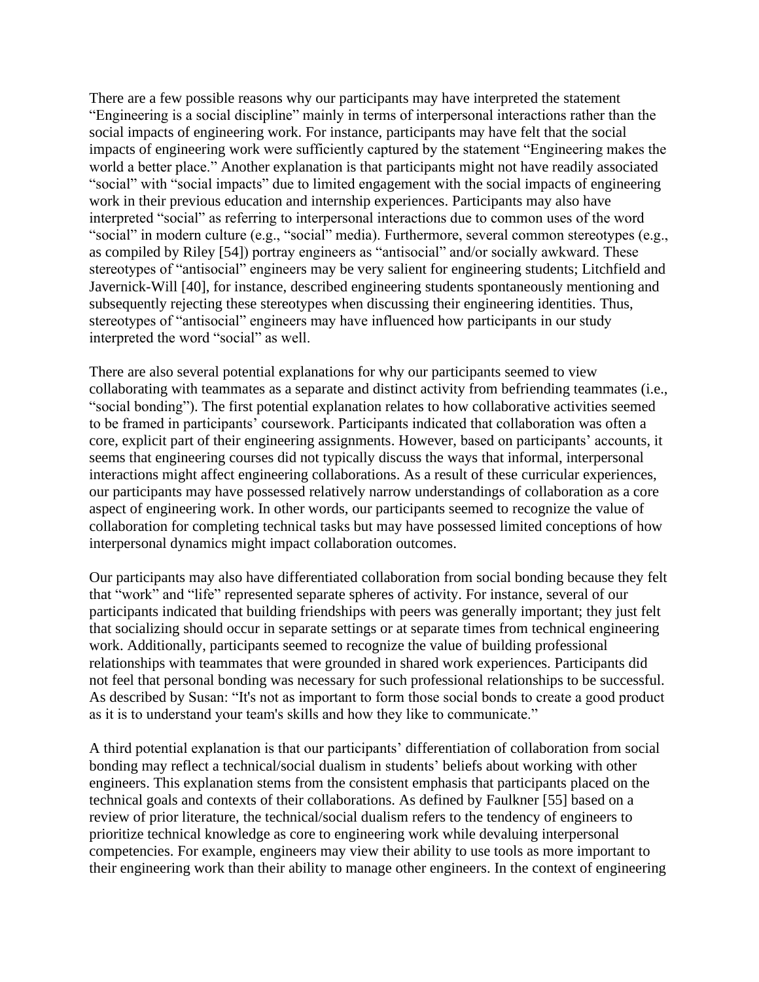There are a few possible reasons why our participants may have interpreted the statement "Engineering is a social discipline" mainly in terms of interpersonal interactions rather than the social impacts of engineering work. For instance, participants may have felt that the social impacts of engineering work were sufficiently captured by the statement "Engineering makes the world a better place." Another explanation is that participants might not have readily associated "social" with "social impacts" due to limited engagement with the social impacts of engineering work in their previous education and internship experiences. Participants may also have interpreted "social" as referring to interpersonal interactions due to common uses of the word "social" in modern culture (e.g., "social" media). Furthermore, several common stereotypes (e.g., as compiled by Riley [54]) portray engineers as "antisocial" and/or socially awkward. These stereotypes of "antisocial" engineers may be very salient for engineering students; Litchfield and Javernick-Will [40], for instance, described engineering students spontaneously mentioning and subsequently rejecting these stereotypes when discussing their engineering identities. Thus, stereotypes of "antisocial" engineers may have influenced how participants in our study interpreted the word "social" as well.

There are also several potential explanations for why our participants seemed to view collaborating with teammates as a separate and distinct activity from befriending teammates (i.e., "social bonding"). The first potential explanation relates to how collaborative activities seemed to be framed in participants' coursework. Participants indicated that collaboration was often a core, explicit part of their engineering assignments. However, based on participants' accounts, it seems that engineering courses did not typically discuss the ways that informal, interpersonal interactions might affect engineering collaborations. As a result of these curricular experiences, our participants may have possessed relatively narrow understandings of collaboration as a core aspect of engineering work. In other words, our participants seemed to recognize the value of collaboration for completing technical tasks but may have possessed limited conceptions of how interpersonal dynamics might impact collaboration outcomes.

Our participants may also have differentiated collaboration from social bonding because they felt that "work" and "life" represented separate spheres of activity. For instance, several of our participants indicated that building friendships with peers was generally important; they just felt that socializing should occur in separate settings or at separate times from technical engineering work. Additionally, participants seemed to recognize the value of building professional relationships with teammates that were grounded in shared work experiences. Participants did not feel that personal bonding was necessary for such professional relationships to be successful. As described by Susan: "It's not as important to form those social bonds to create a good product as it is to understand your team's skills and how they like to communicate."

A third potential explanation is that our participants' differentiation of collaboration from social bonding may reflect a technical/social dualism in students' beliefs about working with other engineers. This explanation stems from the consistent emphasis that participants placed on the technical goals and contexts of their collaborations. As defined by Faulkner [55] based on a review of prior literature, the technical/social dualism refers to the tendency of engineers to prioritize technical knowledge as core to engineering work while devaluing interpersonal competencies. For example, engineers may view their ability to use tools as more important to their engineering work than their ability to manage other engineers. In the context of engineering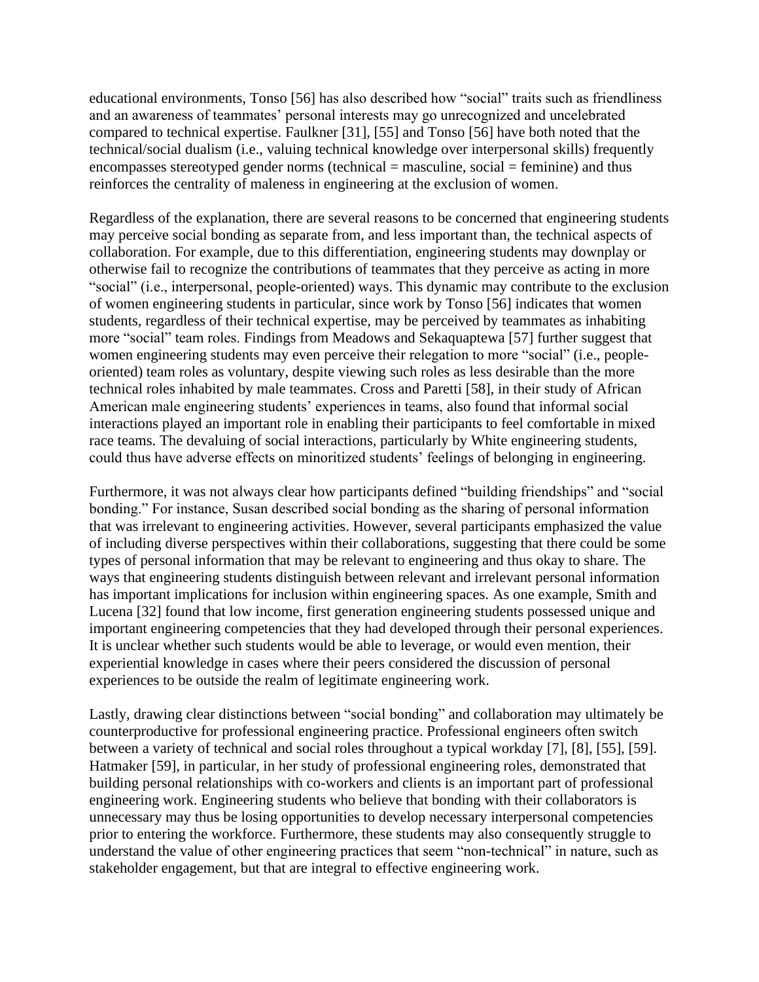educational environments, Tonso [56] has also described how "social" traits such as friendliness and an awareness of teammates' personal interests may go unrecognized and uncelebrated compared to technical expertise. Faulkner [31], [55] and Tonso [56] have both noted that the technical/social dualism (i.e., valuing technical knowledge over interpersonal skills) frequently encompasses stereotyped gender norms (technical = masculine, social = feminine) and thus reinforces the centrality of maleness in engineering at the exclusion of women.

Regardless of the explanation, there are several reasons to be concerned that engineering students may perceive social bonding as separate from, and less important than, the technical aspects of collaboration. For example, due to this differentiation, engineering students may downplay or otherwise fail to recognize the contributions of teammates that they perceive as acting in more "social" (i.e., interpersonal, people-oriented) ways. This dynamic may contribute to the exclusion of women engineering students in particular, since work by Tonso [56] indicates that women students, regardless of their technical expertise, may be perceived by teammates as inhabiting more "social" team roles. Findings from Meadows and Sekaquaptewa [57] further suggest that women engineering students may even perceive their relegation to more "social" (i.e., peopleoriented) team roles as voluntary, despite viewing such roles as less desirable than the more technical roles inhabited by male teammates. Cross and Paretti [58], in their study of African American male engineering students' experiences in teams, also found that informal social interactions played an important role in enabling their participants to feel comfortable in mixed race teams. The devaluing of social interactions, particularly by White engineering students, could thus have adverse effects on minoritized students' feelings of belonging in engineering.

Furthermore, it was not always clear how participants defined "building friendships" and "social bonding." For instance, Susan described social bonding as the sharing of personal information that was irrelevant to engineering activities. However, several participants emphasized the value of including diverse perspectives within their collaborations, suggesting that there could be some types of personal information that may be relevant to engineering and thus okay to share. The ways that engineering students distinguish between relevant and irrelevant personal information has important implications for inclusion within engineering spaces. As one example, Smith and Lucena [32] found that low income, first generation engineering students possessed unique and important engineering competencies that they had developed through their personal experiences. It is unclear whether such students would be able to leverage, or would even mention, their experiential knowledge in cases where their peers considered the discussion of personal experiences to be outside the realm of legitimate engineering work.

Lastly, drawing clear distinctions between "social bonding" and collaboration may ultimately be counterproductive for professional engineering practice. Professional engineers often switch between a variety of technical and social roles throughout a typical workday [7], [8], [55], [59]. Hatmaker [59], in particular, in her study of professional engineering roles, demonstrated that building personal relationships with co-workers and clients is an important part of professional engineering work. Engineering students who believe that bonding with their collaborators is unnecessary may thus be losing opportunities to develop necessary interpersonal competencies prior to entering the workforce. Furthermore, these students may also consequently struggle to understand the value of other engineering practices that seem "non-technical" in nature, such as stakeholder engagement, but that are integral to effective engineering work.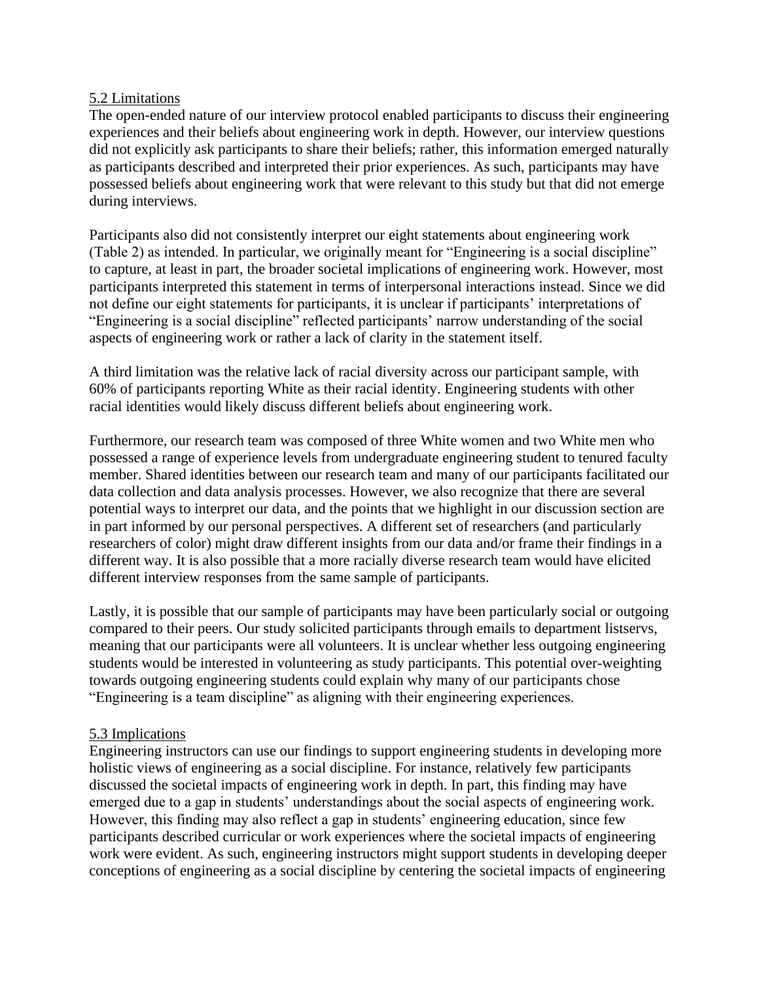## 5.2 Limitations

The open-ended nature of our interview protocol enabled participants to discuss their engineering experiences and their beliefs about engineering work in depth. However, our interview questions did not explicitly ask participants to share their beliefs; rather, this information emerged naturally as participants described and interpreted their prior experiences. As such, participants may have possessed beliefs about engineering work that were relevant to this study but that did not emerge during interviews.

Participants also did not consistently interpret our eight statements about engineering work (Table 2) as intended. In particular, we originally meant for "Engineering is a social discipline" to capture, at least in part, the broader societal implications of engineering work. However, most participants interpreted this statement in terms of interpersonal interactions instead. Since we did not define our eight statements for participants, it is unclear if participants' interpretations of "Engineering is a social discipline" reflected participants' narrow understanding of the social aspects of engineering work or rather a lack of clarity in the statement itself.

A third limitation was the relative lack of racial diversity across our participant sample, with 60% of participants reporting White as their racial identity. Engineering students with other racial identities would likely discuss different beliefs about engineering work.

Furthermore, our research team was composed of three White women and two White men who possessed a range of experience levels from undergraduate engineering student to tenured faculty member. Shared identities between our research team and many of our participants facilitated our data collection and data analysis processes. However, we also recognize that there are several potential ways to interpret our data, and the points that we highlight in our discussion section are in part informed by our personal perspectives. A different set of researchers (and particularly researchers of color) might draw different insights from our data and/or frame their findings in a different way. It is also possible that a more racially diverse research team would have elicited different interview responses from the same sample of participants.

Lastly, it is possible that our sample of participants may have been particularly social or outgoing compared to their peers. Our study solicited participants through emails to department listservs, meaning that our participants were all volunteers. It is unclear whether less outgoing engineering students would be interested in volunteering as study participants. This potential over-weighting towards outgoing engineering students could explain why many of our participants chose "Engineering is a team discipline" as aligning with their engineering experiences.

## 5.3 Implications

Engineering instructors can use our findings to support engineering students in developing more holistic views of engineering as a social discipline. For instance, relatively few participants discussed the societal impacts of engineering work in depth. In part, this finding may have emerged due to a gap in students' understandings about the social aspects of engineering work. However, this finding may also reflect a gap in students' engineering education, since few participants described curricular or work experiences where the societal impacts of engineering work were evident. As such, engineering instructors might support students in developing deeper conceptions of engineering as a social discipline by centering the societal impacts of engineering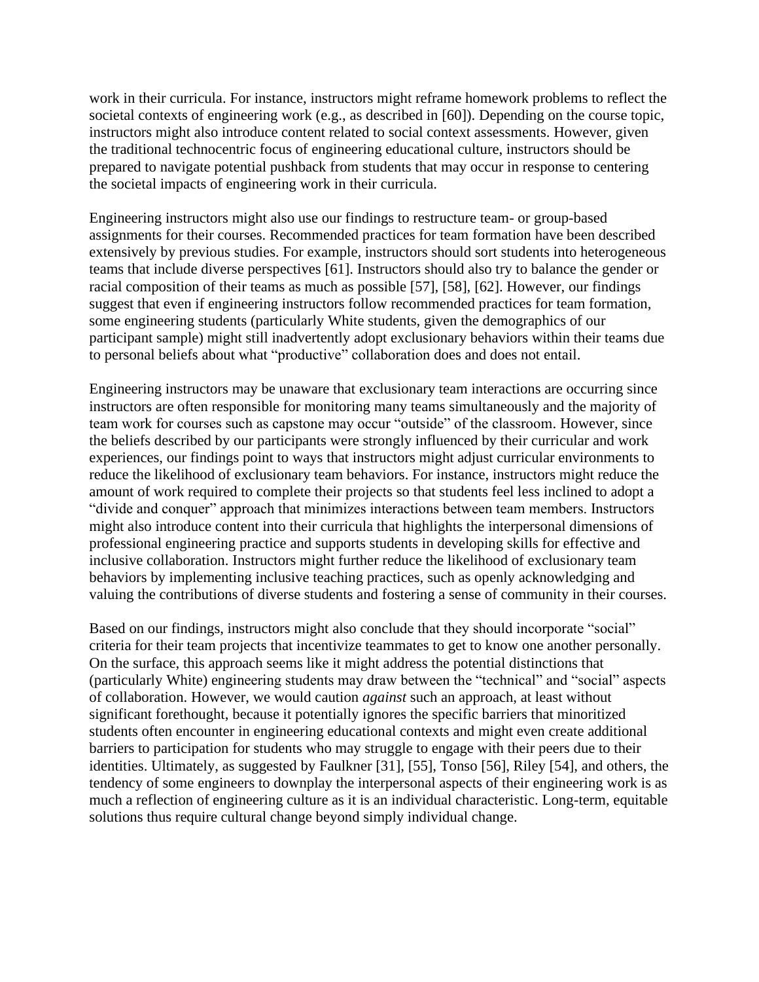work in their curricula. For instance, instructors might reframe homework problems to reflect the societal contexts of engineering work (e.g., as described in [60]). Depending on the course topic, instructors might also introduce content related to social context assessments. However, given the traditional technocentric focus of engineering educational culture, instructors should be prepared to navigate potential pushback from students that may occur in response to centering the societal impacts of engineering work in their curricula.

Engineering instructors might also use our findings to restructure team- or group-based assignments for their courses. Recommended practices for team formation have been described extensively by previous studies. For example, instructors should sort students into heterogeneous teams that include diverse perspectives [61]. Instructors should also try to balance the gender or racial composition of their teams as much as possible [57], [58], [62]. However, our findings suggest that even if engineering instructors follow recommended practices for team formation, some engineering students (particularly White students, given the demographics of our participant sample) might still inadvertently adopt exclusionary behaviors within their teams due to personal beliefs about what "productive" collaboration does and does not entail.

Engineering instructors may be unaware that exclusionary team interactions are occurring since instructors are often responsible for monitoring many teams simultaneously and the majority of team work for courses such as capstone may occur "outside" of the classroom. However, since the beliefs described by our participants were strongly influenced by their curricular and work experiences, our findings point to ways that instructors might adjust curricular environments to reduce the likelihood of exclusionary team behaviors. For instance, instructors might reduce the amount of work required to complete their projects so that students feel less inclined to adopt a "divide and conquer" approach that minimizes interactions between team members. Instructors might also introduce content into their curricula that highlights the interpersonal dimensions of professional engineering practice and supports students in developing skills for effective and inclusive collaboration. Instructors might further reduce the likelihood of exclusionary team behaviors by implementing inclusive teaching practices, such as openly acknowledging and valuing the contributions of diverse students and fostering a sense of community in their courses.

Based on our findings, instructors might also conclude that they should incorporate "social" criteria for their team projects that incentivize teammates to get to know one another personally. On the surface, this approach seems like it might address the potential distinctions that (particularly White) engineering students may draw between the "technical" and "social" aspects of collaboration. However, we would caution *against* such an approach, at least without significant forethought, because it potentially ignores the specific barriers that minoritized students often encounter in engineering educational contexts and might even create additional barriers to participation for students who may struggle to engage with their peers due to their identities. Ultimately, as suggested by Faulkner [31], [55], Tonso [56], Riley [54], and others, the tendency of some engineers to downplay the interpersonal aspects of their engineering work is as much a reflection of engineering culture as it is an individual characteristic. Long-term, equitable solutions thus require cultural change beyond simply individual change.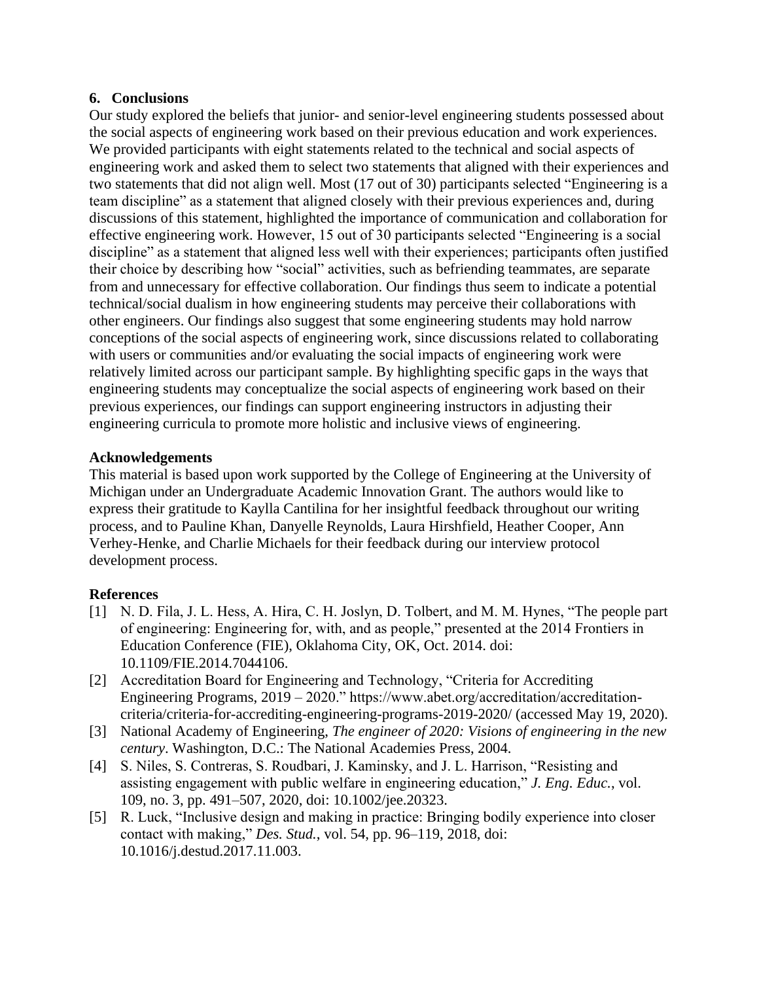## **6. Conclusions**

Our study explored the beliefs that junior- and senior-level engineering students possessed about the social aspects of engineering work based on their previous education and work experiences. We provided participants with eight statements related to the technical and social aspects of engineering work and asked them to select two statements that aligned with their experiences and two statements that did not align well. Most (17 out of 30) participants selected "Engineering is a team discipline" as a statement that aligned closely with their previous experiences and, during discussions of this statement, highlighted the importance of communication and collaboration for effective engineering work. However, 15 out of 30 participants selected "Engineering is a social discipline" as a statement that aligned less well with their experiences; participants often justified their choice by describing how "social" activities, such as befriending teammates, are separate from and unnecessary for effective collaboration. Our findings thus seem to indicate a potential technical/social dualism in how engineering students may perceive their collaborations with other engineers. Our findings also suggest that some engineering students may hold narrow conceptions of the social aspects of engineering work, since discussions related to collaborating with users or communities and/or evaluating the social impacts of engineering work were relatively limited across our participant sample. By highlighting specific gaps in the ways that engineering students may conceptualize the social aspects of engineering work based on their previous experiences, our findings can support engineering instructors in adjusting their engineering curricula to promote more holistic and inclusive views of engineering.

## **Acknowledgements**

This material is based upon work supported by the College of Engineering at the University of Michigan under an Undergraduate Academic Innovation Grant. The authors would like to express their gratitude to Kaylla Cantilina for her insightful feedback throughout our writing process, and to Pauline Khan, Danyelle Reynolds, Laura Hirshfield, Heather Cooper, Ann Verhey-Henke, and Charlie Michaels for their feedback during our interview protocol development process.

## **References**

- [1] N. D. Fila, J. L. Hess, A. Hira, C. H. Joslyn, D. Tolbert, and M. M. Hynes, "The people part of engineering: Engineering for, with, and as people," presented at the 2014 Frontiers in Education Conference (FIE), Oklahoma City, OK, Oct. 2014. doi: 10.1109/FIE.2014.7044106.
- [2] Accreditation Board for Engineering and Technology, "Criteria for Accrediting Engineering Programs, 2019 – 2020." https://www.abet.org/accreditation/accreditationcriteria/criteria-for-accrediting-engineering-programs-2019-2020/ (accessed May 19, 2020).
- [3] National Academy of Engineering, *The engineer of 2020: Visions of engineering in the new century*. Washington, D.C.: The National Academies Press, 2004.
- [4] S. Niles, S. Contreras, S. Roudbari, J. Kaminsky, and J. L. Harrison, "Resisting and assisting engagement with public welfare in engineering education," *J. Eng. Educ.*, vol. 109, no. 3, pp. 491–507, 2020, doi: 10.1002/jee.20323.
- [5] R. Luck, "Inclusive design and making in practice: Bringing bodily experience into closer contact with making," *Des. Stud.*, vol. 54, pp. 96–119, 2018, doi: 10.1016/j.destud.2017.11.003.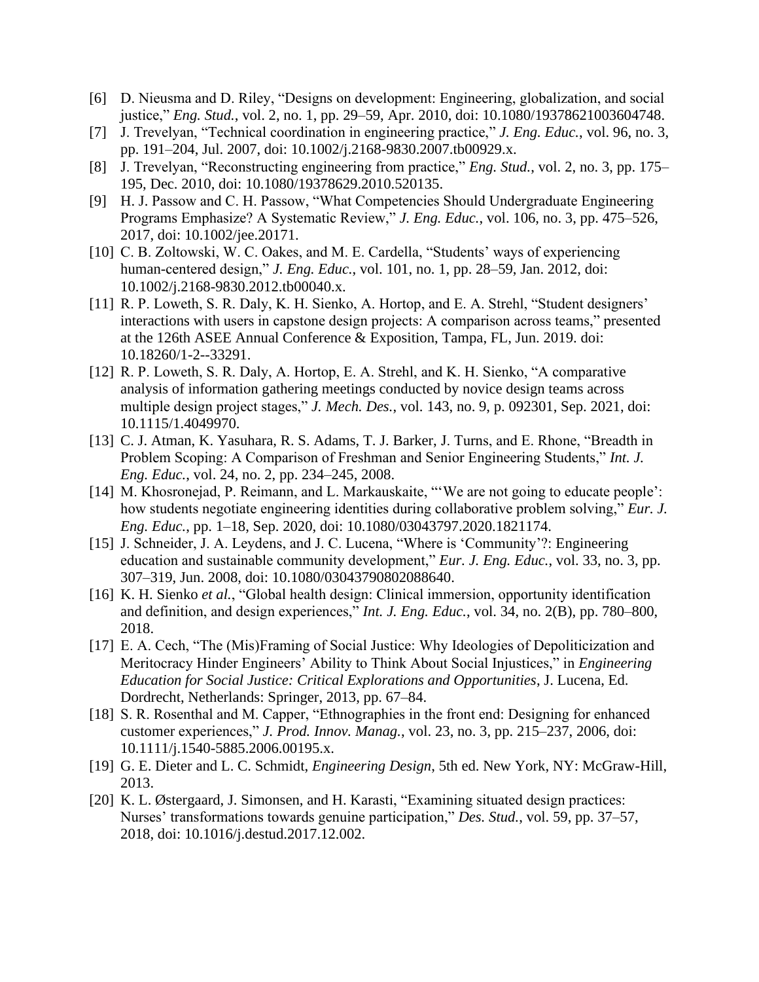- [6] D. Nieusma and D. Riley, "Designs on development: Engineering, globalization, and social justice," *Eng. Stud.*, vol. 2, no. 1, pp. 29–59, Apr. 2010, doi: 10.1080/19378621003604748.
- [7] J. Trevelyan, "Technical coordination in engineering practice," *J. Eng. Educ.*, vol. 96, no. 3, pp. 191–204, Jul. 2007, doi: 10.1002/j.2168-9830.2007.tb00929.x.
- [8] J. Trevelyan, "Reconstructing engineering from practice," *Eng. Stud.*, vol. 2, no. 3, pp. 175– 195, Dec. 2010, doi: 10.1080/19378629.2010.520135.
- [9] H. J. Passow and C. H. Passow, "What Competencies Should Undergraduate Engineering Programs Emphasize? A Systematic Review," *J. Eng. Educ.*, vol. 106, no. 3, pp. 475–526, 2017, doi: 10.1002/jee.20171.
- [10] C. B. Zoltowski, W. C. Oakes, and M. E. Cardella, "Students' ways of experiencing human-centered design," *J. Eng. Educ.*, vol. 101, no. 1, pp. 28–59, Jan. 2012, doi: 10.1002/j.2168-9830.2012.tb00040.x.
- [11] R. P. Loweth, S. R. Daly, K. H. Sienko, A. Hortop, and E. A. Strehl, "Student designers' interactions with users in capstone design projects: A comparison across teams," presented at the 126th ASEE Annual Conference & Exposition, Tampa, FL, Jun. 2019. doi: 10.18260/1-2--33291.
- [12] R. P. Loweth, S. R. Daly, A. Hortop, E. A. Strehl, and K. H. Sienko, "A comparative analysis of information gathering meetings conducted by novice design teams across multiple design project stages," *J. Mech. Des.*, vol. 143, no. 9, p. 092301, Sep. 2021, doi: 10.1115/1.4049970.
- [13] C. J. Atman, K. Yasuhara, R. S. Adams, T. J. Barker, J. Turns, and E. Rhone, "Breadth in Problem Scoping: A Comparison of Freshman and Senior Engineering Students," *Int. J. Eng. Educ.*, vol. 24, no. 2, pp. 234–245, 2008.
- [14] M. Khosronejad, P. Reimann, and L. Markauskaite, "We are not going to educate people': how students negotiate engineering identities during collaborative problem solving," *Eur. J. Eng. Educ.*, pp. 1–18, Sep. 2020, doi: 10.1080/03043797.2020.1821174.
- [15] J. Schneider, J. A. Leydens, and J. C. Lucena, "Where is 'Community'?: Engineering education and sustainable community development," *Eur. J. Eng. Educ.*, vol. 33, no. 3, pp. 307–319, Jun. 2008, doi: 10.1080/03043790802088640.
- [16] K. H. Sienko *et al.*, "Global health design: Clinical immersion, opportunity identification and definition, and design experiences," *Int. J. Eng. Educ.*, vol. 34, no. 2(B), pp. 780–800, 2018.
- [17] E. A. Cech, "The (Mis)Framing of Social Justice: Why Ideologies of Depoliticization and Meritocracy Hinder Engineers' Ability to Think About Social Injustices," in *Engineering Education for Social Justice: Critical Explorations and Opportunities*, J. Lucena, Ed. Dordrecht, Netherlands: Springer, 2013, pp. 67–84.
- [18] S. R. Rosenthal and M. Capper, "Ethnographies in the front end: Designing for enhanced customer experiences," *J. Prod. Innov. Manag.*, vol. 23, no. 3, pp. 215–237, 2006, doi: 10.1111/j.1540-5885.2006.00195.x.
- [19] G. E. Dieter and L. C. Schmidt, *Engineering Design*, 5th ed. New York, NY: McGraw-Hill, 2013.
- [20] K. L. Østergaard, J. Simonsen, and H. Karasti, "Examining situated design practices: Nurses' transformations towards genuine participation," *Des. Stud.*, vol. 59, pp. 37–57, 2018, doi: 10.1016/j.destud.2017.12.002.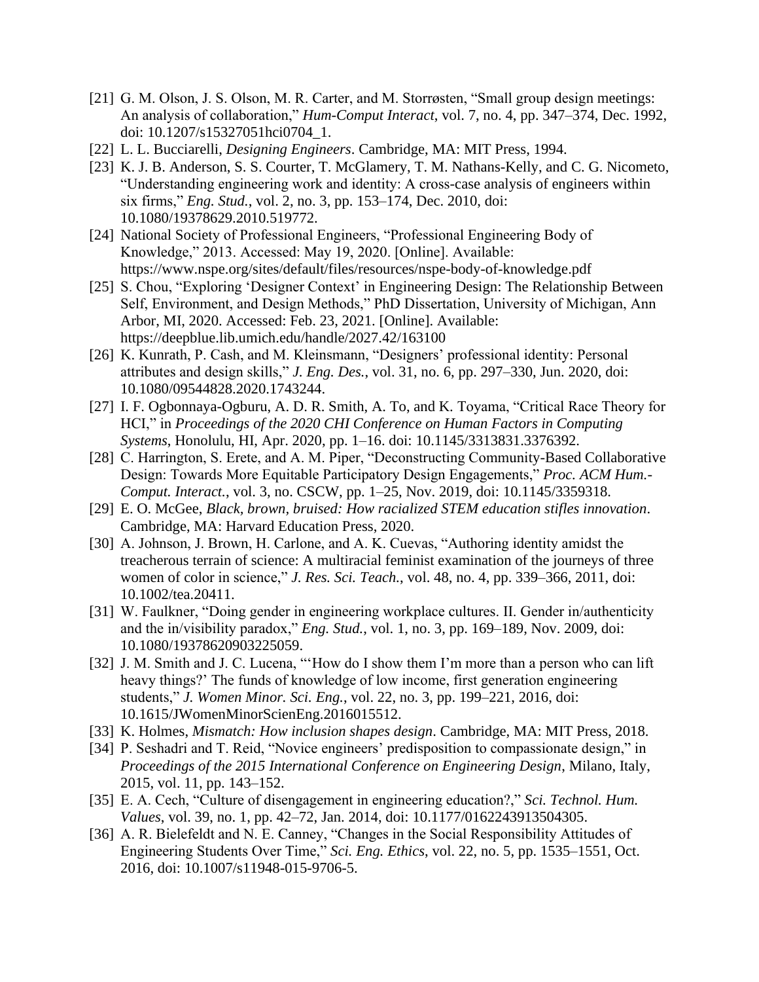- [21] G. M. Olson, J. S. Olson, M. R. Carter, and M. Storrøsten, "Small group design meetings: An analysis of collaboration," *Hum-Comput Interact*, vol. 7, no. 4, pp. 347–374, Dec. 1992, doi: 10.1207/s15327051hci0704\_1.
- [22] L. L. Bucciarelli, *Designing Engineers*. Cambridge, MA: MIT Press, 1994.
- [23] K. J. B. Anderson, S. S. Courter, T. McGlamery, T. M. Nathans-Kelly, and C. G. Nicometo, "Understanding engineering work and identity: A cross-case analysis of engineers within six firms," *Eng. Stud.*, vol. 2, no. 3, pp. 153–174, Dec. 2010, doi: 10.1080/19378629.2010.519772.
- [24] National Society of Professional Engineers, "Professional Engineering Body of Knowledge," 2013. Accessed: May 19, 2020. [Online]. Available: https://www.nspe.org/sites/default/files/resources/nspe-body-of-knowledge.pdf
- [25] S. Chou, "Exploring 'Designer Context' in Engineering Design: The Relationship Between Self, Environment, and Design Methods," PhD Dissertation, University of Michigan, Ann Arbor, MI, 2020. Accessed: Feb. 23, 2021. [Online]. Available: https://deepblue.lib.umich.edu/handle/2027.42/163100
- [26] K. Kunrath, P. Cash, and M. Kleinsmann, "Designers' professional identity: Personal attributes and design skills," *J. Eng. Des.*, vol. 31, no. 6, pp. 297–330, Jun. 2020, doi: 10.1080/09544828.2020.1743244.
- [27] I. F. Ogbonnaya-Ogburu, A. D. R. Smith, A. To, and K. Toyama, "Critical Race Theory for HCI," in *Proceedings of the 2020 CHI Conference on Human Factors in Computing Systems*, Honolulu, HI, Apr. 2020, pp. 1–16. doi: 10.1145/3313831.3376392.
- [28] C. Harrington, S. Erete, and A. M. Piper, "Deconstructing Community-Based Collaborative Design: Towards More Equitable Participatory Design Engagements," *Proc. ACM Hum.- Comput. Interact.*, vol. 3, no. CSCW, pp. 1–25, Nov. 2019, doi: 10.1145/3359318.
- [29] E. O. McGee, *Black, brown, bruised: How racialized STEM education stifles innovation*. Cambridge, MA: Harvard Education Press, 2020.
- [30] A. Johnson, J. Brown, H. Carlone, and A. K. Cuevas, "Authoring identity amidst the treacherous terrain of science: A multiracial feminist examination of the journeys of three women of color in science," *J. Res. Sci. Teach.*, vol. 48, no. 4, pp. 339–366, 2011, doi: 10.1002/tea.20411.
- [31] W. Faulkner, "Doing gender in engineering workplace cultures. II. Gender in/authenticity and the in/visibility paradox," *Eng. Stud.*, vol. 1, no. 3, pp. 169–189, Nov. 2009, doi: 10.1080/19378620903225059.
- [32] J. M. Smith and J. C. Lucena, "'How do I show them I'm more than a person who can lift heavy things?' The funds of knowledge of low income, first generation engineering students," *J. Women Minor. Sci. Eng.*, vol. 22, no. 3, pp. 199–221, 2016, doi: 10.1615/JWomenMinorScienEng.2016015512.
- [33] K. Holmes, *Mismatch: How inclusion shapes design*. Cambridge, MA: MIT Press, 2018.
- [34] P. Seshadri and T. Reid, "Novice engineers' predisposition to compassionate design," in *Proceedings of the 2015 International Conference on Engineering Design*, Milano, Italy, 2015, vol. 11, pp. 143–152.
- [35] E. A. Cech, "Culture of disengagement in engineering education?," *Sci. Technol. Hum. Values*, vol. 39, no. 1, pp. 42–72, Jan. 2014, doi: 10.1177/0162243913504305.
- [36] A. R. Bielefeldt and N. E. Canney, "Changes in the Social Responsibility Attitudes of Engineering Students Over Time," *Sci. Eng. Ethics*, vol. 22, no. 5, pp. 1535–1551, Oct. 2016, doi: 10.1007/s11948-015-9706-5.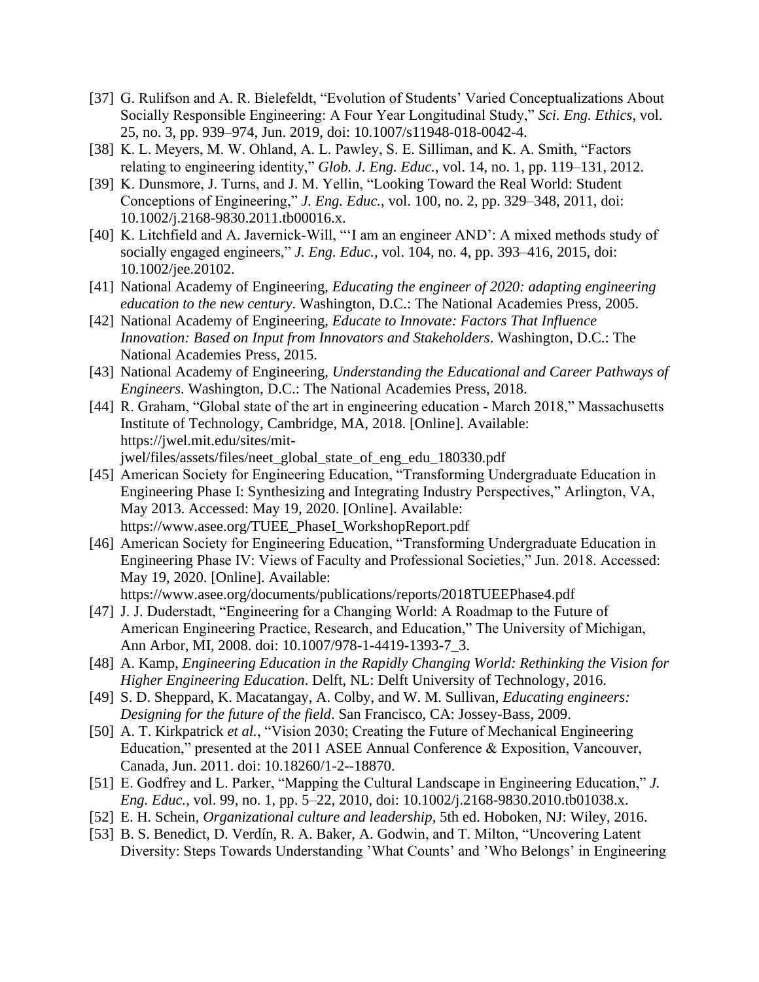- [37] G. Rulifson and A. R. Bielefeldt, "Evolution of Students' Varied Conceptualizations About Socially Responsible Engineering: A Four Year Longitudinal Study," *Sci. Eng. Ethics*, vol. 25, no. 3, pp. 939–974, Jun. 2019, doi: 10.1007/s11948-018-0042-4.
- [38] K. L. Meyers, M. W. Ohland, A. L. Pawley, S. E. Silliman, and K. A. Smith, "Factors relating to engineering identity," *Glob. J. Eng. Educ.*, vol. 14, no. 1, pp. 119–131, 2012.
- [39] K. Dunsmore, J. Turns, and J. M. Yellin, "Looking Toward the Real World: Student Conceptions of Engineering," *J. Eng. Educ.*, vol. 100, no. 2, pp. 329–348, 2011, doi: 10.1002/j.2168-9830.2011.tb00016.x.
- [40] K. Litchfield and A. Javernick-Will, "'I am an engineer AND': A mixed methods study of socially engaged engineers," *J. Eng. Educ.*, vol. 104, no. 4, pp. 393–416, 2015, doi: 10.1002/jee.20102.
- [41] National Academy of Engineering, *Educating the engineer of 2020: adapting engineering education to the new century*. Washington, D.C.: The National Academies Press, 2005.
- [42] National Academy of Engineering, *Educate to Innovate: Factors That Influence Innovation: Based on Input from Innovators and Stakeholders*. Washington, D.C.: The National Academies Press, 2015.
- [43] National Academy of Engineering, *Understanding the Educational and Career Pathways of Engineers*. Washington, D.C.: The National Academies Press, 2018.
- [44] R. Graham, "Global state of the art in engineering education March 2018," Massachusetts Institute of Technology, Cambridge, MA, 2018. [Online]. Available: https://jwel.mit.edu/sites/mitjwel/files/assets/files/neet\_global\_state\_of\_eng\_edu\_180330.pdf
- [45] American Society for Engineering Education, "Transforming Undergraduate Education in Engineering Phase I: Synthesizing and Integrating Industry Perspectives," Arlington, VA, May 2013. Accessed: May 19, 2020. [Online]. Available: https://www.asee.org/TUEE\_PhaseI\_WorkshopReport.pdf
- [46] American Society for Engineering Education, "Transforming Undergraduate Education in Engineering Phase IV: Views of Faculty and Professional Societies," Jun. 2018. Accessed: May 19, 2020. [Online]. Available:
	- https://www.asee.org/documents/publications/reports/2018TUEEPhase4.pdf
- [47] J. J. Duderstadt, "Engineering for a Changing World: A Roadmap to the Future of American Engineering Practice, Research, and Education," The University of Michigan, Ann Arbor, MI, 2008. doi: 10.1007/978-1-4419-1393-7\_3.
- [48] A. Kamp, *Engineering Education in the Rapidly Changing World: Rethinking the Vision for Higher Engineering Education*. Delft, NL: Delft University of Technology, 2016.
- [49] S. D. Sheppard, K. Macatangay, A. Colby, and W. M. Sullivan, *Educating engineers: Designing for the future of the field*. San Francisco, CA: Jossey-Bass, 2009.
- [50] A. T. Kirkpatrick *et al.*, "Vision 2030; Creating the Future of Mechanical Engineering Education," presented at the 2011 ASEE Annual Conference & Exposition, Vancouver, Canada, Jun. 2011. doi: 10.18260/1-2--18870.
- [51] E. Godfrey and L. Parker, "Mapping the Cultural Landscape in Engineering Education," *J. Eng. Educ.*, vol. 99, no. 1, pp. 5–22, 2010, doi: 10.1002/j.2168-9830.2010.tb01038.x.
- [52] E. H. Schein, *Organizational culture and leadership*, 5th ed. Hoboken, NJ: Wiley, 2016.
- [53] B. S. Benedict, D. Verdín, R. A. Baker, A. Godwin, and T. Milton, "Uncovering Latent Diversity: Steps Towards Understanding 'What Counts' and 'Who Belongs' in Engineering